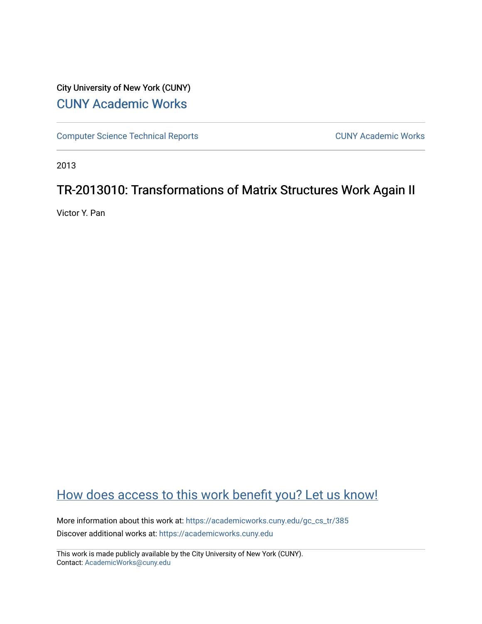# City University of New York (CUNY) [CUNY Academic Works](https://academicworks.cuny.edu/)

[Computer Science Technical Reports](https://academicworks.cuny.edu/gc_cs_tr) **CUNY Academic Works** CUNY Academic Works

2013

# TR-2013010: Transformations of Matrix Structures Work Again II

Victor Y. Pan

# [How does access to this work benefit you? Let us know!](http://ols.cuny.edu/academicworks/?ref=https://academicworks.cuny.edu/gc_cs_tr/385)

More information about this work at: [https://academicworks.cuny.edu/gc\\_cs\\_tr/385](https://academicworks.cuny.edu/gc_cs_tr/385)  Discover additional works at: [https://academicworks.cuny.edu](https://academicworks.cuny.edu/?)

This work is made publicly available by the City University of New York (CUNY). Contact: [AcademicWorks@cuny.edu](mailto:AcademicWorks@cuny.edu)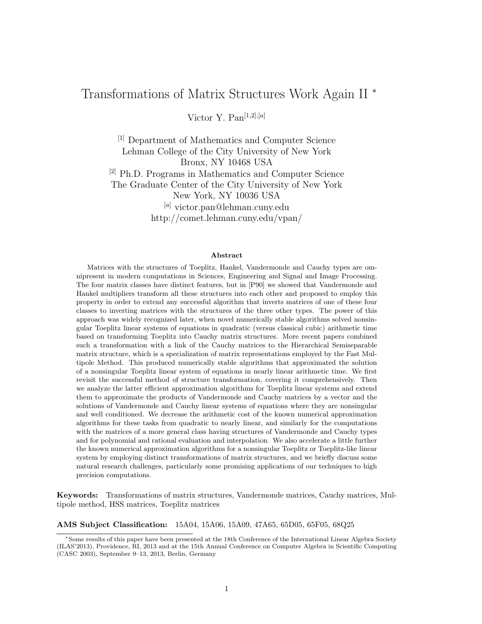## Transformations of Matrix Structures Work Again II <sup>∗</sup>

Victor Y. Pan $[1,2], [a]$ 

[1] Department of Mathematics and Computer Science Lehman College of the City University of New York Bronx, NY 10468 USA [2] Ph.D. Programs in Mathematics and Computer Science The Graduate Center of the City University of New York New York, NY 10036 USA [a] victor.pan@lehman.cuny.edu http://comet.lehman.cuny.edu/vpan/

#### Abstract

Matrices with the structures of Toeplitz, Hankel, Vandermonde and Cauchy types are omnipresent in modern computations in Sciences, Engineering and Signal and Image Processing. The four matrix classes have distinct features, but in [P90] we showed that Vandermonde and Hankel multipliers transform all these structures into each other and proposed to employ this property in order to extend any successful algorithm that inverts matrices of one of these four classes to inverting matrices with the structures of the three other types. The power of this approach was widely recognized later, when novel numerically stable algorithms solved nonsingular Toeplitz linear systems of equations in quadratic (versus classical cubic) arithmetic time based on transforming Toeplitz into Cauchy matrix structures. More recent papers combined such a transformation with a link of the Cauchy matrices to the Hierarchical Semiseparable matrix structure, which is a specialization of matrix representations employed by the Fast Multipole Method. This produced numerically stable algorithms that approximated the solution of a nonsingular Toeplitz linear system of equations in nearly linear arithmetic time. We first revisit the successful method of structure transformation, covering it comprehensively. Then we analyze the latter efficient approximation algorithms for Toeplitz linear systems and extend them to approximate the products of Vandermonde and Cauchy matrices by a vector and the solutions of Vandermonde and Cauchy linear systems of equations where they are nonsingular and well conditioned. We decrease the arithmetic cost of the known numerical approximation algorithms for these tasks from quadratic to nearly linear, and similarly for the computations with the matrices of a more general class having structures of Vandermonde and Cauchy types and for polynomial and rational evaluation and interpolation. We also accelerate a little further the known numerical approximation algorithms for a nonsingular Toeplitz or Toeplitz-like linear system by employing distinct transformations of matrix structures, and we briefly discuss some natural research challenges, particularly some promising applications of our techniques to high precision computations.

Keywords: Transformations of matrix structures, Vandermonde matrices, Cauchy matrices, Multipole method, HSS matrices, Toeplitz matrices

AMS Subject Classification: 15A04, 15A06, 15A09, 47A65, 65D05, 65F05, 68Q25

<sup>∗</sup>Some results of this paper have been presented at the 18th Conference of the International Linear Algebra Society (ILAS'2013), Providence, RI, 2013 and at the 15th Annual Conference on Computer Algebra in Scientific Computing (CASC 2003), September 9–13, 2013, Berlin, Germany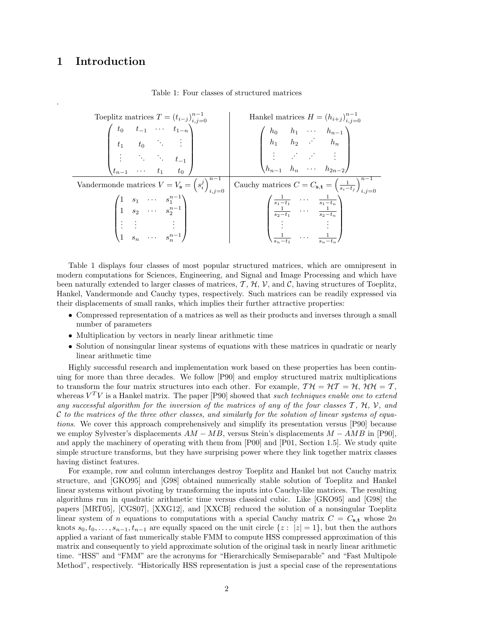## 1 Introduction

.

#### Table 1: Four classes of structured matrices

Toeplitz matrices  $T = (t_{i-j})$  $n-1$  $i,j=0$  Hankel matrices  $H = (h_{i+j})$  $n-1$ phia matrices  $I = (v_{i-j})_{i,j=0}$ <br>  $\begin{pmatrix} t_0 & t_{-1} & \cdots & t_{1-n} \end{pmatrix}$ <br>  $\begin{pmatrix} 1 & t_0 & \cdots & t_{n-1} \end{pmatrix}$  $\overline{\phantom{a}}$  $t_0$   $t_{-1}$  · ·  $t_{1-n}$  $t_1$   $t_0$  : :  $\vdots$  ∴  $t_{-1}$  $t_{n-1}$  · · ·  $t_1$   $t_0$  $\setminus$  $\begin{array}{c} \hline \end{array}$  $\sqrt{ }$  $\parallel$  $h_0$   $h_1$  · · ·  $h_{n-1}$  $h_1$   $h_2$   $\therefore$   $h_n$ . . . . . . . . . . . .  $h_{n-1}$   $h_n$   $\cdots$   $h_{2n-2}$  $\setminus$  $\begin{matrix} \phantom{-} \end{matrix}$ Vandermonde matrices  $V = V_{\mathbf{s}} = \left(s_i^j\right)^{n-1}$  $\begin{array}{c|c} n-1 & \text{Cauchy matrices } C = C_{\mathbf{s},\mathbf{t}} = \left(\frac{1}{s_i-t_j}\right)_{i,j=1}^{n-1} \end{array}$  $\sqrt{ }$  $i,j=0$  $\overline{\phantom{a}}$ 1  $s_1 \cdots s_1^{n-1}$ 1  $s_2 \cdots s_2^{n-1}$ <br>: : : : 1  $s_n \cdots s_n^{n-1}$  $\setminus$  $\overline{\phantom{a}}$  $\sqrt{ }$  $\overline{\phantom{a}}$  $\frac{1}{s_1-t_1}$  ...  $\frac{1}{s_1-t_n}$ <br>  $\frac{1}{s_2-t_1}$  ...  $\frac{1}{s_2-t_n}$ <br>  $\vdots$  $\frac{1}{s_n-t_1} \quad \cdots \quad \frac{1}{s_n-t_n}$  $\setminus$  $\Bigg\}$ 

Table 1 displays four classes of most popular structured matrices, which are omnipresent in modern computations for Sciences, Engineering, and Signal and Image Processing and which have been naturally extended to larger classes of matrices,  $\mathcal{T}, \mathcal{H}, \mathcal{V}$ , and  $\mathcal{C}$ , having structures of Toeplitz, Hankel, Vandermonde and Cauchy types, respectively. Such matrices can be readily expressed via their displacements of small ranks, which implies their further attractive properties:

- Compressed representation of a matrices as well as their products and inverses through a small number of parameters
- Multiplication by vectors in nearly linear arithmetic time
- Solution of nonsingular linear systems of equations with these matrices in quadratic or nearly linear arithmetic time

Highly successful research and implementation work based on these properties has been continuing for more than three decades. We follow [P90] and employ structured matrix multiplications to transform the four matrix structures into each other. For example,  $T H = H T = H$ ,  $H H = T$ , whereas  $V^T V$  is a Hankel matrix. The paper [P90] showed that such techniques enable one to extend any successful algorithm for the inversion of the matrices of any of the four classes  $\mathcal{T}$ ,  $\mathcal{H}$ ,  $\mathcal{V}$ , and  $\mathcal C$  to the matrices of the three other classes, and similarly for the solution of linear systems of equations. We cover this approach comprehensively and simplify its presentation versus [P90] because we employ Sylvester's displacements  $AM - MB$ , versus Stein's displacements  $M - AMB$  in [P90], and apply the machinery of operating with them from [P00] and [P01, Section 1.5]. We study quite simple structure transforms, but they have surprising power where they link together matrix classes having distinct features.

For example, row and column interchanges destroy Toeplitz and Hankel but not Cauchy matrix structure, and [GKO95] and [G98] obtained numerically stable solution of Toeplitz and Hankel linear systems without pivoting by transforming the inputs into Cauchy-like matrices. The resulting algorithms run in quadratic arithmetic time versus classical cubic. Like [GKO95] and [G98] the papers [MRT05], [CGS07], [XXG12], and [XXCB] reduced the solution of a nonsingular Toeplitz linear system of n equations to computations with a special Cauchy matrix  $C = C_{s,t}$  whose 2n knots  $s_0, t_0, \ldots, s_{n-1}, t_{n-1}$  are equally spaced on the unit circle  $\{z : |z| = 1\}$ , but then the authors applied a variant of fast numerically stable FMM to compute HSS compressed approximation of this matrix and consequently to yield approximate solution of the original task in nearly linear arithmetic time. "HSS" and "FMM" are the acronyms for "Hierarchically Semiseparable" and "Fast Multipole Method", respectively. "Historically HSS representation is just a special case of the representations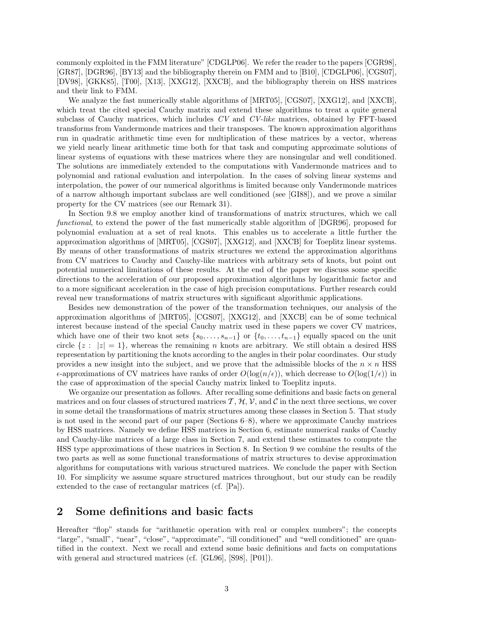commonly exploited in the FMM literature" [CDGLP06]. We refer the reader to the papers [CGR98], [GR87], [DGR96], [BY13] and the bibliography therein on FMM and to [B10], [CDGLP06], [CGS07], [DV98], [GKK85], [T00], [X13], [XXG12], [XXCB], and the bibliography therein on HSS matrices and their link to FMM.

We analyze the fast numerically stable algorithms of [MRT05], [CGS07], [XXG12], and [XXCB], which treat the cited special Cauchy matrix and extend these algorithms to treat a quite general subclass of Cauchy matrices, which includes CV and CV-like matrices, obtained by FFT-based transforms from Vandermonde matrices and their transposes. The known approximation algorithms run in quadratic arithmetic time even for multiplication of these matrices by a vector, whereas we yield nearly linear arithmetic time both for that task and computing approximate solutions of linear systems of equations with these matrices where they are nonsingular and well conditioned. The solutions are immediately extended to the computations with Vandermonde matrices and to polynomial and rational evaluation and interpolation. In the cases of solving linear systems and interpolation, the power of our numerical algorithms is limited because only Vandermonde matrices of a narrow although important subclass are well conditioned (see [GI88]), and we prove a similar property for the CV matrices (see our Remark 31).

In Section 9.8 we employ another kind of transformations of matrix structures, which we call functional, to extend the power of the fast numerically stable algorithm of [DGR96], proposed for polynomial evaluation at a set of real knots. This enables us to accelerate a little further the approximation algorithms of [MRT05], [CGS07], [XXG12], and [XXCB] for Toeplitz linear systems. By means of other transformations of matrix structures we extend the approximation algorithms from CV matrices to Cauchy and Cauchy-like matrices with arbitrary sets of knots, but point out potential numerical limitations of these results. At the end of the paper we discuss some specific directions to the acceleration of our proposed approximation algorithms by logarithmic factor and to a more significant acceleration in the case of high precision computations. Further research could reveal new transformations of matrix structures with significant algorithmic applications.

Besides new demonstration of the power of the transformation techniques, our analysis of the approximation algorithms of [MRT05], [CGS07], [XXG12], and [XXCB] can be of some technical interest because instead of the special Cauchy matrix used in these papers we cover CV matrices, which have one of their two knot sets  $\{s_0, \ldots, s_{n-1}\}$  or  $\{t_0, \ldots, t_{n-1}\}$  equally spaced on the unit circle  $\{z : |z| = 1\}$ , whereas the remaining n knots are arbitrary. We still obtain a desired HSS representation by partitioning the knots according to the angles in their polar coordinates. Our study provides a new insight into the subject, and we prove that the admissible blocks of the  $n \times n$  HSS  $\epsilon$ -approximations of CV matrices have ranks of order  $O(\log(n/\epsilon))$ , which decrease to  $O(\log(1/\epsilon))$  in the case of approximation of the special Cauchy matrix linked to Toeplitz inputs.

We organize our presentation as follows. After recalling some definitions and basic facts on general matrices and on four classes of structured matrices  $\mathcal{T}, \mathcal{H}, \mathcal{V}$ , and  $\mathcal{C}$  in the next three sections, we cover in some detail the transformations of matrix structures among these classes in Section 5. That study is not used in the second part of our paper (Sections 6–8), where we approximate Cauchy matrices by HSS matrices. Namely we define HSS matrices in Section 6, estimate numerical ranks of Cauchy and Cauchy-like matrices of a large class in Section 7, and extend these estimates to compute the HSS type approximations of these matrices in Section 8. In Section 9 we combine the results of the two parts as well as some functional transformations of matrix structures to devise approximation algorithms for computations with various structured matrices. We conclude the paper with Section 10. For simplicity we assume square structured matrices throughout, but our study can be readily extended to the case of rectangular matrices (cf. [Pa]).

### 2 Some definitions and basic facts

Hereafter "flop" stands for "arithmetic operation with real or complex numbers"; the concepts "large", "small", "near", "close", "approximate", "ill conditioned" and "well conditioned" are quantified in the context. Next we recall and extend some basic definitions and facts on computations with general and structured matrices (cf. [GL96], [S98], [P01]).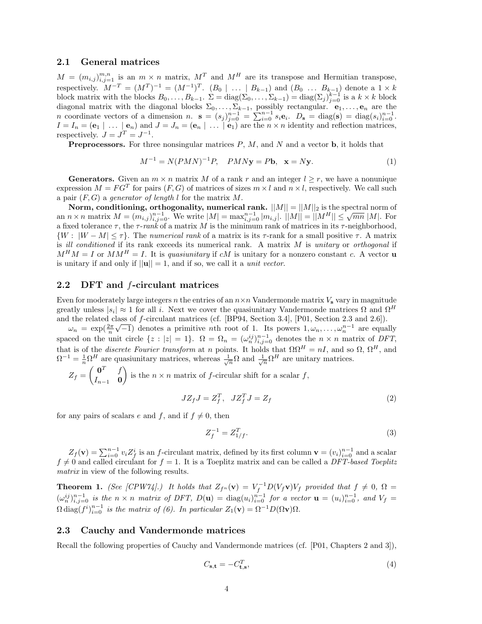#### 2.1 General matrices

 $M = (m_{i,j})_{i,j=1}^{m,n}$  is an  $m \times n$  matrix,  $M^T$  and  $M^H$  are its transpose and Hermitian transpose, respectively.  $M^{-T} = (M^{T})^{-1} = (M^{-1})^{T}$ .  $(B_0 | ... | B_{k-1})$  and  $(B_0 ... B_{k-1})$  denote a  $1 \times k$ block matrix with the blocks  $B_0, \ldots, B_{k-1}$ .  $\Sigma = \text{diag}(\Sigma_0, \ldots, \Sigma_{k-1}) = \text{diag}(\Sigma_j)_{j=0}^{k-1}$  is a  $k \times k$  block diagonal matrix with the diagonal blocks  $\Sigma_0, \ldots, \Sigma_{k-1}$ , possibly rectangular.  $e_1, \ldots, e_n$  are the n coordinate vectors of a dimension n.  $\mathbf{s} = (s_j)_{j=0}^{n-1} = \sum_{i=0}^{n-1} s_i \mathbf{e}_i$ .  $D_{\mathbf{s}} = \text{diag}(\mathbf{s}) = \text{diag}(s_i)_{i=0}^{n-1}$ .  $I = I_n = (e_1 | ... | e_n)$  and  $J = J_n = (e_n | ... | e_1)$  are the  $n \times n$  identity and reflection matrices, respectively.  $J = J^T = J^{-1}$ .

**Preprocessors.** For three nonsingular matrices  $P$ ,  $M$ , and  $N$  and a vector  $\mathbf{b}$ , it holds that

$$
M^{-1} = N(PMN)^{-1}P, \quad PMN\mathbf{y} = P\mathbf{b}, \quad \mathbf{x} = N\mathbf{y}.\tag{1}
$$

**Generators.** Given an  $m \times n$  matrix M of a rank r and an integer  $l \geq r$ , we have a nonunique expression  $M = FG^T$  for pairs  $(F, G)$  of matrices of sizes  $m \times l$  and  $n \times l$ , respectively. We call such a pair  $(F, G)$  a generator of length l for the matrix M.

Norm, conditioning, orthogonality, numerical rank.  $||M|| = ||M||_2$  is the spectral norm of **an**  $n \times n$  matrix  $M = (m_{i,j})_{i,j=0}^{n-1}$ . We write  $|M| = \max_{i,j=0}^{n-1} |m_{i,j}|$ .  $||M|| = ||M^H|| \le \sqrt{mn} |M|$ . For a fixed tolerance  $\tau$ , the  $\tau$ -rank of a matrix M is the minimum rank of matrices in its  $\tau$ -neighborhood,  $\{W : |W - M| \leq \tau\}$ . The numerical rank of a matrix is its  $\tau$ -rank for a small positive  $\tau$ . A matrix is ill conditioned if its rank exceeds its numerical rank. A matrix  $M$  is unitary or orthogonal if  $M^HM = I$  or  $MM^H = I$ . It is quasiunitary if cM is unitary for a nonzero constant c. A vector **u** is unitary if and only if  $||\mathbf{u}|| = 1$ , and if so, we call it a *unit vector*.

#### 2.2 DFT and f-circulant matrices

Even for moderately large integers n the entries of an  $n \times n$  Vandermonde matrix  $V_s$  vary in magnitude greatly unless  $|s_i| \approx 1$  for all i. Next we cover the quasiunitary Vandermonde matrices  $\Omega$  and  $\Omega^H$ and the related class of f-circulant matrices (cf. [BP94, Section 3.4], [P01, Section 2.3 and 2.6]).

 $\omega_n = \exp(\frac{2\pi}{n}\sqrt{-1})$  denotes a primitive *n*th root of 1. Its powers  $1, \omega_n, \ldots, \omega_n^{n-1}$  are equally spaced on the unit circle  $\{z : |z| = 1\}$ .  $\Omega = \Omega_n = (\omega_n^{ij})_{i,j=0}^{n-1}$  denotes the  $n \times n$  matrix of DFT, that is of the *discrete Fourier transform* at n points. It holds that  $\Omega \Omega^H = nI$ , and so  $\Omega$ ,  $\Omega^H$ , and  $\Omega^{-1} = \frac{1}{n} \Omega^H$  are quasiunitary matrices, whereas  $\frac{1}{\sqrt{n}} \Omega$  and  $\frac{1}{\sqrt{n}} \Omega^H$  are unitary matrices.

 $Z_f = \begin{pmatrix} 0^T & f \\ f & 0 \end{pmatrix}$  $I_{n-1}$  0 is the  $n \times n$  matrix of f-circular shift for a scalar f,

$$
JZ_f J = Z_f^T, \quad JZ_f^T J = Z_f \tag{2}
$$

for any pairs of scalars e and f, and if  $f \neq 0$ , then

$$
Z_f^{-1} = Z_{1/f}^T.
$$
 (3)

 $Z_f(\mathbf{v}) = \sum_{i=0}^{n-1} v_i Z_f^i$  is an f-circulant matrix, defined by its first column  $\mathbf{v} = (v_i)_{i=0}^{n-1}$  and a scalar  $f \neq 0$  and called circulant for  $f = 1$ . It is a Toeplitz matrix and can be called a DFT-based Toeplitz matrix in view of the following results.

**Theorem 1.** (See [CPW74].) It holds that  $Z_{f^n}(\mathbf{v}) = V_f^{-1}D(V_f\mathbf{v})V_f$  provided that  $f \neq 0$ ,  $\Omega =$  $(\omega_n^{ij})_{i,j=0}^{n-1}$  is the  $n \times n$  matrix of DFT,  $D(\mathbf{u}) = \text{diag}(u_i)_{i=0}^{n-1}$  for a vector  $\mathbf{u} = (u_i)_{i=0}^{n-1}$ , and  $V_f =$  $\Omega$  diag $(f^i)_{i=0}^{n-1}$  is the matrix of (6). In particular  $Z_1(\mathbf{v}) = \Omega^{-1} D(\Omega \mathbf{v}) \Omega$ .

#### 2.3 Cauchy and Vandermonde matrices

Recall the following properties of Cauchy and Vandermonde matrices (cf. [P01, Chapters 2 and 3]),

$$
C_{\mathbf{s},\mathbf{t}} = -C_{\mathbf{t},\mathbf{s}}^T,\tag{4}
$$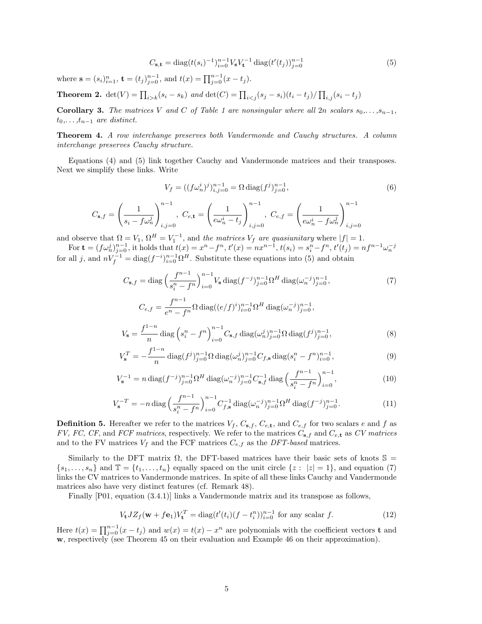$$
C_{\mathbf{s},\mathbf{t}} = \text{diag}(t(s_i)^{-1})_{i=0}^{n-1} V_{\mathbf{s}} V_{\mathbf{t}}^{-1} \text{ diag}(t'(t_j))_{j=0}^{n-1}
$$
(5)

where  $\mathbf{s} = (s_i)_{i=1}^n$ ,  $\mathbf{t} = (t_j)_{j=0}^{n-1}$ , and  $t(x) = \prod_{j=0}^{n-1} (x - t_j)$ .

 $i,j=0$ 

 $C_{\mathbf{s},f} =$ 

**Theorem 2.**  $det(V) = \prod_{i > k} (s_i - s_k)$  and  $det(C) = \prod_{i < j} (s_j - s_i)(t_i - t_j) / \prod_{i, j} (s_i - t_j)$ 

**Corollary 3.** The matrices V and C of Table 1 are nonsingular where all 2n scalars  $s_0, \ldots, s_{n-1}$ ,  $t_0,\ldots,t_{n-1}$  are distinct.

Theorem 4. A row interchange preserves both Vandermonde and Cauchy structures. A column interchange preserves Cauchy structure.

Equations (4) and (5) link together Cauchy and Vandermonde matrices and their transposes. Next we simplify these links. Write

$$
V_f = ((f\omega_n^i)^j)_{i,j=0}^{n-1} = \Omega \operatorname{diag}(f^j)_{j=0}^{n-1},
$$
\n
$$
\left(\frac{1}{s_i - f\omega_n^j}\right)_{i,j=0}^{n-1}, C_{e,\mathbf{t}} = \left(\frac{1}{e\omega_n^i - t_j}\right)_{i,j=0}^{n-1}, C_{e,f} = \left(\frac{1}{e\omega_n^i - f\omega_n^j}\right)_{i,j=0}^{n-1}
$$
\n(6)

 $i,j=0$ 

 $i,j=0$ 

and observe that  $\Omega = V_1$ ,  $\Omega^H = V_1^{-1}$ , and the matrices  $V_f$  are quasiunitary where  $|f| = 1$ .

For  $\mathbf{t} = (f\omega_n^j)_{j=0}^{n-1}$ , it holds that  $t(x) = x^n - f^n$ ,  $t'(x) = nx^{n-1}$ ,  $t(s_i) = s_i^n - f^n$ ,  $t'(t_j) = nf^{n-1}\omega_n^{-j}$  for all j, and  $nV_f^{-1} = \text{diag}(f^{-i})_{i=0}^{n-1}\Omega^H$ . Substitute these equations into (5) and obtain

$$
C_{\mathbf{s},f} = \text{diag}\left(\frac{f^{n-1}}{s_i^n - f^n}\right)_{i=0}^{n-1} V_{\mathbf{s}} \text{diag}(f^{-j})_{j=0}^{n-1} \Omega^H \text{diag}(\omega_n^{-j})_{j=0}^{n-1},\tag{7}
$$

$$
C_{e,f} = \frac{f^{n-1}}{e^n - f^n} \Omega \operatorname{diag}((e/f)^i)_{i=0}^{n-1} \Omega^H \operatorname{diag}(\omega_n^{-j})_{j=0}^{n-1},
$$
  

$$
\zeta_s = \frac{f^{1-n}}{n} \operatorname{diag}(\zeta_i^n - f^n)_{i=0}^{n-1} C_{s,f} \operatorname{diag}(\omega_n^j)_{j=0}^{n-1} \Omega \operatorname{diag}(f^j)_{j=0}^{n-1},
$$
 (8)

$$
V_{\mathbf{s}} = \frac{J}{n} \text{diag}\left(s_i^n - f^n\right)_{i=0} C_{\mathbf{s},f} \text{diag}(\omega_n^j)_{j=0}^{n-1} \Omega \text{diag}(f^j)_{j=0}^{n-1},\tag{8}
$$

$$
V_{\mathbf{s}}^{T} = -\frac{f^{1-n}}{n} \operatorname{diag}(f^{j})_{j=0}^{n-1} \Omega \operatorname{diag}(\omega_{n}^{j})_{j=0}^{n-1} C_{f,\mathbf{s}} \operatorname{diag}(s_{i}^{n} - f^{n})_{i=0}^{n-1},
$$
\n(9)

$$
V_{\mathbf{s}}^{-1} = n \operatorname{diag}(f^{-j})_{j=0}^{n-1} \Omega^H \operatorname{diag}(\omega_n^{-j})_{j=0}^{n-1} C_{\mathbf{s},f}^{-1} \operatorname{diag}\left(\frac{f^{n-1}}{s_i^n - f^n}\right)_{i=0}^{n-1},\tag{10}
$$

$$
V_{\mathbf{s}}^{-T} = -n \operatorname{diag}\left(\frac{f^{n-1}}{s_i^n - f^n}\right)_{i=0}^{n-1} C_{f,\mathbf{s}}^{-1} \operatorname{diag}(\omega_n^{-j})_{j=0}^{n-1} \Omega^H \operatorname{diag}(f^{-j})_{j=0}^{n-1}.
$$
 (11)

**Definition 5.** Hereafter we refer to the matrices  $V_f$ ,  $C_{s,f}$ ,  $C_{e,t}$ , and  $C_{e,f}$  for two scalars e and f as FV, FC, CF, and FCF matrices, respectively. We refer to the matrices  $C_{s,f}$  and  $C_{e,t}$  as CV matrices and to the FV matrices  $V_f$  and the FCF matrices  $C_{e,f}$  as the DFT-based matrices.

Similarly to the DFT matrix  $\Omega$ , the DFT-based matrices have their basic sets of knots  $\mathbb{S} =$  $\{s_1, \ldots, s_n\}$  and  $\mathbb{T} = \{t_1, \ldots, t_n\}$  equally spaced on the unit circle  $\{z : |z| = 1\}$ , and equation (7) links the CV matrices to Vandermonde matrices. In spite of all these links Cauchy and Vandermonde matrices also have very distinct features (cf. Remark 48).

Finally [P01, equation (3.4.1)] links a Vandermonde matrix and its transpose as follows,

$$
V_{\mathbf{t}} JZ_f(\mathbf{w} + f\mathbf{e}_1)V_{\mathbf{t}}^T = \text{diag}(t'(t_i)(f - t_i^n))_{i=0}^{n-1} \text{ for any scalar } f.
$$
 (12)

Here  $t(x) = \prod_{j=0}^{n-1} (x - t_j)$  and  $w(x) = t(x) - x^n$  are polynomials with the coefficient vectors **t** and w, respectively (see Theorem 45 on their evaluation and Example 46 on their approximation).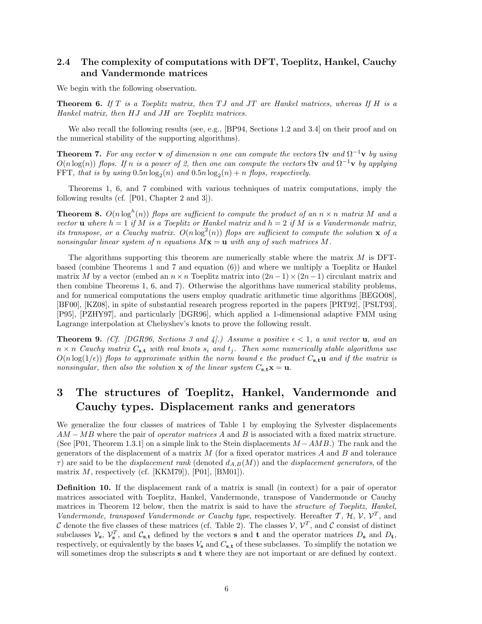### 2.4 The complexity of computations with DFT, Toeplitz, Hankel, Cauchy and Vandermonde matrices

We begin with the following observation.

**Theorem 6.** If T is a Toeplitz matrix, then TJ and JT are Hankel matrices, whereas If H is a Hankel matrix, then HJ and JH are Toeplitz matrices.

We also recall the following results (see, e.g., [BP94, Sections 1.2 and 3.4] on their proof and on the numerical stability of the supporting algorithms).

**Theorem 7.** For any vector **v** of dimension n one can compute the vectors  $\Omega$ **v** and  $\Omega^{-1}$ **v** by using  $O(n \log(n))$  flops. If n is a power of 2, then one can compute the vectors  $\Omega$ **v** and  $\Omega^{-1}$ **v** by applying FFT, that is by using  $0.5n \log_2(n)$  and  $0.5n \log_2(n) + n$  flops, respectively.

Theorems 1, 6, and 7 combined with various techniques of matrix computations, imply the following results (cf. [P01, Chapter 2 and 3]).

**Theorem 8.**  $O(n \log^h(n))$  flops are sufficient to compute the product of an  $n \times n$  matrix M and a vector **u** where  $h = 1$  if M is a Toeplitz or Hankel matrix and  $h = 2$  if M is a Vandermonde matrix, its transpose, or a Cauchy matrix.  $O(n \log^2(n))$  flops are sufficient to compute the solution x of a nonsingular linear system of n equations  $Mx = u$  with any of such matrices M.

The algorithms supporting this theorem are numerically stable where the matrix  $M$  is DFTbased (combine Theorems 1 and 7 and equation (6)) and where we multiply a Toeplitz or Hankel matrix M by a vector (embed an  $n \times n$  Toeplitz matrix into  $(2n-1) \times (2n-1)$  circulant matrix and then combine Theorems 1, 6, and 7). Otherwise the algorithms have numerical stability problems, and for numerical computations the users employ quadratic arithmetic time algorithms [BEGO08], [BF00], [KZ08], in spite of substantial research progress reported in the papers [PRT92], [PSLT93], [P95], [PZHY97], and particularly [DGR96], which applied a 1-dimensional adaptive FMM using Lagrange interpolation at Chebyshev's knots to prove the following result.

**Theorem 9.** (Cf. [DGR96, Sections 3 and 4].) Assume a positive  $\epsilon < 1$ , a unit vector **u**, and an  $n \times n$  Cauchy matrix  $C_{s,t}$  with real knots  $s_i$  and  $t_j$ . Then some numerically stable algorithms use  $O(n \log(1/\epsilon))$  flops to approximate within the norm bound  $\epsilon$  the product  $C_{\mathbf{s},\mathbf{t}}$  and if the matrix is nonsingular, then also the solution  $x$  of the linear system  $C_{s,t}x = u$ .

## 3 The structures of Toeplitz, Hankel, Vandermonde and Cauchy types. Displacement ranks and generators

We generalize the four classes of matrices of Table 1 by employing the Sylvester displacements  $AM - MB$  where the pair of *operator matrices* A and B is associated with a fixed matrix structure. (See [P01, Theorem 1.3.1] on a simple link to the Stein displacements  $M - AMB$ .) The rank and the generators of the displacement of a matrix  $M$  (for a fixed operator matrices  $A$  and  $B$  and tolerance  $\tau$ ) are said to be the *displacement rank* (denoted  $d_{A,B}(M)$ ) and the *displacement generators*, of the matrix  $M$ , respectively (cf. [KKM79]), [P01], [BM01]).

Definition 10. If the displacement rank of a matrix is small (in context) for a pair of operator matrices associated with Toeplitz, Hankel, Vandermonde, transpose of Vandermonde or Cauchy matrices in Theorem 12 below, then the matrix is said to have the *structure of Toeplitz*, Hankel, Vandermonde, transposed Vandermonde or Cauchy type, respectively. Hereafter T, H, V,  $V^T$ , and C denote the five classes of these matrices (cf. Table 2). The classes  $V, V^T$ , and C consist of distinct subclasses  $V_s$ ,  $V_s^T$ , and  $C_{s,t}$  defined by the vectors **s** and **t** and the operator matrices  $D_s$  and  $D_t$ , respectively, or equivalently by the bases  $V_s$  and  $C_{s,t}$  of these subclasses. To simplify the notation we will sometimes drop the subscripts **s** and **t** where they are not important or are defined by context.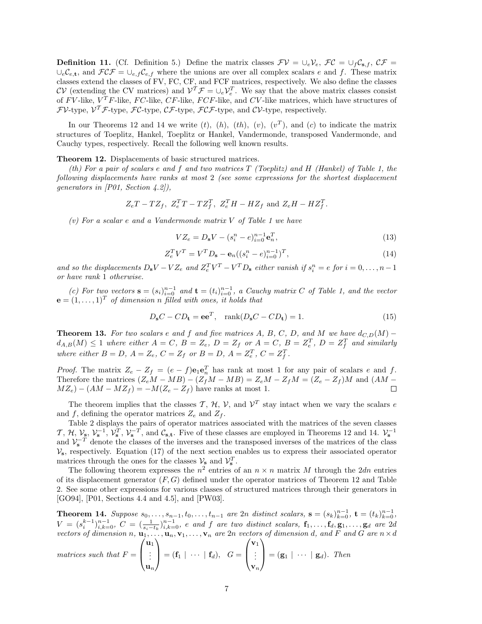**Definition 11.** (Cf. Definition 5.) Define the matrix classes  $\mathcal{F}V = \bigcup_e \mathcal{V}_e$ ,  $\mathcal{FC} = \bigcup_f \mathcal{C}_{s,f}$ ,  $\mathcal{CF} =$  $\cup_e C_{e,t}$ , and  $\mathcal{FCF} = \cup_{e,f} C_{e,f}$  where the unions are over all complex scalars e and f. These matrix classes extend the classes of FV, FC, CF, and FCF matrices, respectively. We also define the classes  $CV$  (extending the CV matrices) and  $V^T \mathcal{F} = \cup_e V_e^T$ . We say that the above matrix classes consist of  $F$ V-like,  $V^T F$ -like,  $FC$ -like,  $CF$ -like,  $FCF$ -like, and  $CV$ -like matrices, which have structures of  $FV$ -type,  $V^T\mathcal{F}$ -type,  $\mathcal{FC}$ -type,  $\mathcal{CF}$ -type,  $\mathcal{FCF}$ -type, and  $\mathcal{CV}$ -type, respectively.

In our Theorems 12 and 14 we write  $(t)$ ,  $(h)$ ,  $(th)$ ,  $(v)$ ,  $(v<sup>T</sup>)$ , and  $(c)$  to indicate the matrix structures of Toeplitz, Hankel, Toeplitz or Hankel, Vandermonde, transposed Vandermonde, and Cauchy types, respectively. Recall the following well known results.

Theorem 12. Displacements of basic structured matrices.

(th) For a pair of scalars e and f and two matrices  $T$  (Toeplitz) and  $H$  (Hankel) of Table 1, the following displacements have ranks at most 2 (see some expressions for the shortest displacement generators in [P01, Section 4.2]),

$$
Z_e T - T Z_f, \ Z_e^T T - T Z_f^T, \ Z_e^T H - H Z_f \text{ and } Z_e H - H Z_f^T.
$$

(v) For a scalar e and a Vandermonde matrix V of Table 1 we have

$$
VZ_e = D_s V - (s_i^n - e)_{i=0}^{n-1} \mathbf{e}_n^T,
$$
\n(13)

$$
Z_e^T V^T = V^T D_s - \mathbf{e}_n ((s_i^n - e)_{i=0}^{n-1})^T,
$$
\n(14)

and so the displacements  $D_s V - V Z_e$  and  $Z_e^T V^T - V^T D_s$  either vanish if  $s_i^n = e$  for  $i = 0, \ldots, n-1$ or have rank 1 otherwise.

(c) For two vectors  $\mathbf{s} = (s_i)_{i=0}^{n-1}$  and  $\mathbf{t} = (t_i)_{i=0}^{n-1}$ , a Cauchy matrix C of Table 1, and the vector  $\mathbf{e} = (1, \ldots, 1)^T$  of dimension n filled with ones, it holds that

$$
D_{\mathbf{s}}C - CD_{\mathbf{t}} = \mathbf{e}\mathbf{e}^T, \quad \text{rank}(D_{\mathbf{s}}C - CD_{\mathbf{t}}) = 1.
$$
 (15)

**Theorem 13.** For two scalars e and f and five matrices A, B, C, D, and M we have  $d_{C,D}(M)$  –  $d_{A,B}(M) \leq 1$  where either  $A = C$ ,  $B = Z_e$ ,  $D = Z_f$  or  $A = C$ ,  $B = Z_e^T$ ,  $D = Z_f^T$  and similarly where either  $B = D$ ,  $A = Z_e$ ,  $C = Z_f$  or  $B = D$ ,  $A = Z_e^T$ ,  $C = Z_f^T$ .

*Proof.* The matrix  $Z_e - Z_f = (e - f)\mathbf{e}_1\mathbf{e}_n^T$  has rank at most 1 for any pair of scalars e and f. Therefore the matrices  $(Z_eM - MB) - (Z_fM - MB) = Z_eM - Z_fM = (Z_e - Z_f)M$  and  $(AM MZ_e - (AM - MZ_f) = -M(Z_e - Z_f)$  have ranks at most 1.  $\Box$ 

The theorem implies that the classes T, H, V, and  $V^T$  stay intact when we vary the scalars e and f, defining the operator matrices  $Z_e$  and  $Z_f$ .

Table 2 displays the pairs of operator matrices associated with the matrices of the seven classes T, H,  $V_s$ ,  $V_s^{-1}$ ,  $V_s^T$ ,  $V_s^{-T}$ , and  $\mathcal{C}_{s,t}$ . Five of these classes are employed in Theorems 12 and 14.  $V_s^{-1}$ and  $\mathcal{V}_s^{-T}$  denote the classes of the inverses and the transposed inverses of the matrices of the class  $V_s$ , respectively. Equation (17) of the next section enables us to express their associated operator matrices through the ones for the classes  $\mathcal{V}_s$  and  $\mathcal{V}_s^T$ .

The following theorem expresses the  $n^2$  entries of an  $n \times n$  matrix M through the 2dn entries of its displacement generator  $(F, G)$  defined under the operator matrices of Theorem 12 and Table 2. See some other expressions for various classes of structured matrices through their generators in [GO94], [P01, Sections 4.4 and 4.5], and [PW03].

**Theorem 14.** Suppose  $s_0, \ldots, s_{n-1}, t_0, \ldots, t_{n-1}$  are  $2n$  distinct scalars,  $\mathbf{s} = (s_k)_{k=0}^{n-1}$ ,  $\mathbf{t} = (t_k)_{k=0}^{n-1}$ ,  $V = (s_i^{k-1})_{i,k=0}^{n-1}, C = (\frac{1}{s_i-t_k})_{i,k=0}^{n-1}, e$  and f are two distinct scalars,  $\mathbf{f}_1, \ldots, \mathbf{f}_d, \mathbf{g}_1, \ldots, \mathbf{g}_d$  are 2d vectors of dimension  $n, \mathbf{u}_1, \ldots, \mathbf{u}_n, \mathbf{v}_1, \ldots, \mathbf{v}_n$  are  $2n$  vectors of dimension d, and F and G are  $n \times d$ 

$$
matrices \; such \; that \; F = \begin{pmatrix} \mathbf{u}_1 \\ \vdots \\ \mathbf{u}_n \end{pmatrix} = (\mathbf{f}_1 \mid \; \cdots \mid \mathbf{f}_d), \; \; G = \begin{pmatrix} \mathbf{v}_1 \\ \vdots \\ \mathbf{v}_n \end{pmatrix} = (\mathbf{g}_1 \mid \; \cdots \mid \mathbf{g}_d). \; \; Then
$$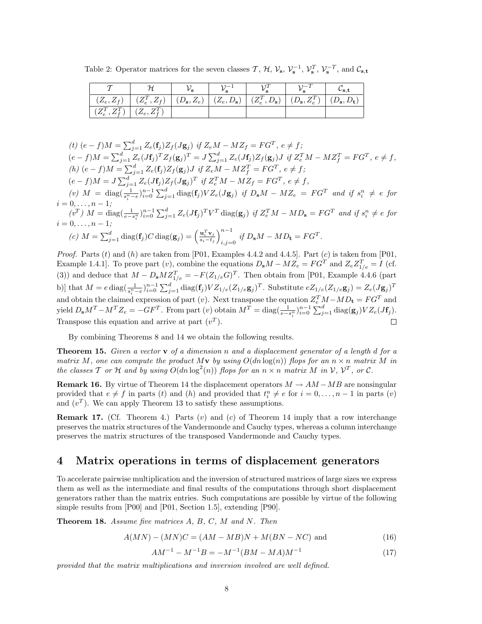Table 2: Operator matrices for the seven classes  $\mathcal{T}, \mathcal{H}, \mathcal{V}_s, \mathcal{V}_s^{-1}, \mathcal{V}_s^T, \mathcal{V}_s^{-T}$ , and  $\mathcal{C}_{s,t}$ 

|                                                                                                     |  |  | $\mathsf{\nu_{s.t.}}$ |
|-----------------------------------------------------------------------------------------------------|--|--|-----------------------|
| $\left( (Z_e, Z_f) \right) (Z_e^T, Z_f) (D_s, Z_e) (Z_e, D_s) (Z_e^T, D_s) (D_s, Z_e^T) (D_s, D_t)$ |  |  |                       |
| $\left( Z_e^T, Z_f^T \right) \mid (Z_e, Z_f^T)$                                                     |  |  |                       |

$$
(t) (e - f)M = \sum_{j=1}^{d} Z_e(f_j)Z_f(Jg_j) \text{ if } Z_eM - MZ_f = FG^T, e \neq f;
$$
  
\n
$$
(e - f)M = \sum_{j=1}^{d} Z_e(Jf_j)^T Z_f(g_j)^T = J \sum_{j=1}^{d} Z_e(Jf_j)Z_f(g_j)J \text{ if } Z_e^T M - MZ_f^T = FG^T, e \neq f,
$$
  
\n
$$
(h) (e - f)M = \sum_{j=1}^{d} Z_e(f_j)Z_f(g_j)J \text{ if } Z_eM - MZ_f^T = FG^T, e \neq f;
$$
  
\n
$$
(e - f)M = J \sum_{j=1}^{d} Z_e(Jf_j)Z_f(Jg_j)^T \text{ if } Z_e^T M - MZ_f = FG^T, e \neq f,
$$
  
\n
$$
(v) M = \text{diag}(\frac{1}{s_i^n - e})_{i=0}^{n-1} \sum_{j=1}^{d} \text{diag}(f_j) V Z_e(Jg_j) \text{ if } D_sM - MZ_e = FG^T \text{ and if } s_i^n \neq e \text{ for}
$$
  
\n
$$
i = 0, ..., n - 1;
$$
  
\n
$$
(v^T) M = \text{diag}(\frac{1}{e - s_i^n})_{i=0}^{n-1} \sum_{j=1}^{d} Z_e(Jf_j)^T V^T \text{diag}(g_j) \text{ if } Z_e^T M - M D_s = FG^T \text{ and if } s_i^n \neq e \text{ for}
$$
  
\n
$$
i = 0, ..., n - 1;
$$
  
\n
$$
(c) M = \sum_{j=1}^{d} \text{diag}(f_j)C \text{diag}(g_j) = (\frac{u_i^T v_j}{s_i - t_j})_{i,j=0}^{n-1} \text{ if } D_sM - MD_t = FG^T.
$$

 $i,j=0$ 

*Proof.* Parts  $(t)$  and  $(h)$  are taken from [P01, Examples 4.4.2 and 4.4.5]. Part  $(c)$  is taken from [P01, Example 1.4.1]. To prove part (v), combine the equations  $D_s M - M Z_e = F G^T$  and  $Z_e Z_{1/e}^T = I$  (cf. (3)) and deduce that  $M - D_{\bf s} M Z_{1/e}^T = -F(Z_{1/e}G)^T$ . Then obtain from [P01, Example 4.4.6 (part b)] that  $M = e \operatorname{diag}(\frac{1}{s_i^n - e})_{i=0}^{n-1} \sum_{j=1}^d \operatorname{diag}(\mathbf{f}_j) V Z_{1/e}(Z_{1/e} \mathbf{g}_j)^T$ . Substitute  $e Z_{1/e}(Z_{1/e} \mathbf{g}_j) = Z_e (J \mathbf{g}_j)^T$ and obtain the claimed expression of part (v). Next transpose the equation  $Z_e^T M - M D_t = FG^T$  and yield  $D_s M^T - M^T Z_e = -GF^T$ . From part (v) obtain  $M^T = \text{diag}(\frac{1}{e - s_i^n})_{i=0}^{n-1} \sum_{j=1}^d \text{diag}(\mathbf{g}_j) V Z_e (J\mathbf{f}_j)$ . Transpose this equation and arrive at part  $(v<sup>T</sup>)$ .

By combining Theorems 8 and 14 we obtain the following results.

**Theorem 15.** Given a vector  $\bf{v}$  of a dimension n and a displacement generator of a length d for a matrix M, one can compute the product Mv by using  $O(dn \log(n))$  flops for an  $n \times n$  matrix M in the classes T or H and by using  $O(dn \log^2(n))$  flops for an  $n \times n$  matrix M in V,  $\mathcal{V}^T$ , or C.

**Remark 16.** By virtue of Theorem 14 the displacement operators  $M \rightarrow AM - MB$  are nonsingular provided that  $e \neq f$  in parts (t) and (h) and provided that  $t_i^n \neq e$  for  $i = 0, \ldots, n - 1$  in parts (v) and  $(v^T)$ . We can apply Theorem 13 to satisfy these assumptions.

**Remark 17.** (Cf. Theorem 4.) Parts  $(v)$  and  $(c)$  of Theorem 14 imply that a row interchange preserves the matrix structures of the Vandermonde and Cauchy types, whereas a column interchange preserves the matrix structures of the transposed Vandermonde and Cauchy types.

## 4 Matrix operations in terms of displacement generators

To accelerate pairwise multiplication and the inversion of structured matrices of large sizes we express them as well as the intermediate and final results of the computations through short displacement generators rather than the matrix entries. Such computations are possible by virtue of the following simple results from [P00] and [P01, Section 1.5], extending [P90].

Theorem 18. Assume five matrices A, B, C, M and N. Then

$$
A(MN) - (MN)C = (AM - MB)N + M(BN - NC)
$$
 and (16)

$$
AM^{-1} - M^{-1}B = -M^{-1}(BM - MA)M^{-1}
$$
\n(17)

provided that the matrix multiplications and inversion involved are well defined.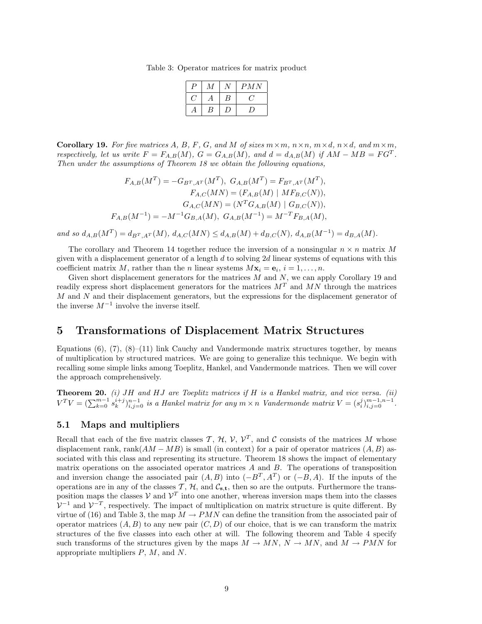Table 3: Operator matrices for matrix product

| э | A. |     | PMN |
|---|----|-----|-----|
|   |    | В   |     |
|   | Ŗ  | ر ا | ν.  |

**Corollary 19.** For five matrices A, B, F, G, and M of sizes  $m \times m$ ,  $n \times n$ ,  $m \times d$ ,  $n \times d$ , and  $m \times m$ , respectively, let us write  $F = F_{A,B}(M)$ ,  $G = G_{A,B}(M)$ , and  $d = d_{A,B}(M)$  if  $AM - MB = FG^{T}$ . Then under the assumptions of Theorem 18 we obtain the following equations,

$$
F_{A,B}(M^T) = -G_{B^T,A^T}(M^T), G_{A,B}(M^T) = F_{B^T,A^T}(M^T),
$$
  
\n
$$
F_{A,C}(MN) = (F_{A,B}(M)) \mid MF_{B,C}(N)),
$$
  
\n
$$
G_{A,C}(MN) = (N^T G_{A,B}(M)) \mid G_{B,C}(N)),
$$
  
\n
$$
F_{A,B}(M^{-1}) = -M^{-1} G_{B,A}(M), G_{A,B}(M^{-1}) = M^{-T} F_{B,A}(M),
$$

and so  $d_{A,B}(M^T) = d_{B^T,A^T}(M), d_{A,C}(MN) \leq d_{A,B}(M) + d_{B,C}(N), d_{A,B}(M^{-1}) = d_{B,A}(M).$ 

The corollary and Theorem 14 together reduce the inversion of a nonsingular  $n \times n$  matrix M given with a displacement generator of a length  $d$  to solving  $2d$  linear systems of equations with this coefficient matrix M, rather than the n linear systems  $M\mathbf{x}_i = \mathbf{e}_i, i = 1, \ldots, n$ .

Given short displacement generators for the matrices  $M$  and  $N$ , we can apply Corollary 19 and readily express short displacement generators for the matrices  $M^T$  and  $MN$  through the matrices M and N and their displacement generators, but the expressions for the displacement generator of the inverse  $M^{-1}$  involve the inverse itself.

## 5 Transformations of Displacement Matrix Structures

Equations  $(6)$ ,  $(7)$ ,  $(8)$ – $(11)$  link Cauchy and Vandermonde matrix structures together, by means of multiplication by structured matrices. We are going to generalize this technique. We begin with recalling some simple links among Toeplitz, Hankel, and Vandermonde matrices. Then we will cover the approach comprehensively.

**Theorem 20.** (i) JH and HJ are Toeplitz matrices if H is a Hankel matrix, and vice versa. (ii)  $V^TV = (\sum_{k=0}^{m-1} s_k^{i+j})_{i,j=0}^{n-1}$  is a Hankel matrix for any  $m \times n$  Vandermonde matrix  $V = (s_i^j)_{i,j=0}^{m-1,n-1}$ .

#### 5.1 Maps and multipliers

Recall that each of the five matrix classes T,  $H$ ,  $V$ ,  $V^{T}$ , and C consists of the matrices M whose displacement rank, rank $(AM - MB)$  is small (in context) for a pair of operator matrices  $(A, B)$  associated with this class and representing its structure. Theorem 18 shows the impact of elementary matrix operations on the associated operator matrices  $A$  and  $B$ . The operations of transposition and inversion change the associated pair  $(A, B)$  into  $(-B^T, A^T)$  or  $(-B, A)$ . If the inputs of the operations are in any of the classes  $\mathcal{T}, \mathcal{H}$ , and  $\mathcal{C}_{s,t}$ , then so are the outputs. Furthermore the transposition maps the classes  $V$  and  $V^T$  into one another, whereas inversion maps them into the classes  $V^{-1}$  and  $V^{-T}$ , respectively. The impact of multiplication on matrix structure is quite different. By virtue of (16) and Table 3, the map  $M \to PMN$  can define the transition from the associated pair of operator matrices  $(A, B)$  to any new pair  $(C, D)$  of our choice, that is we can transform the matrix structures of the five classes into each other at will. The following theorem and Table 4 specify such transforms of the structures given by the maps  $M \to MN$ ,  $N \to MN$ , and  $M \to PMN$  for appropriate multipliers  $P, M$ , and  $N$ .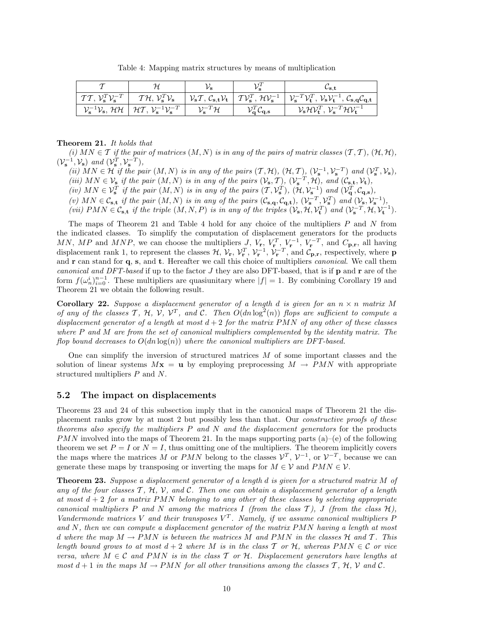Table 4: Mapping matrix structures by means of multiplication

|                                                                    |                                                                                          |                        |                                                                 | ∽s.t                                                                                                                                                                                                                                                                                                                                                                                |
|--------------------------------------------------------------------|------------------------------------------------------------------------------------------|------------------------|-----------------------------------------------------------------|-------------------------------------------------------------------------------------------------------------------------------------------------------------------------------------------------------------------------------------------------------------------------------------------------------------------------------------------------------------------------------------|
| $T T$ , $\mathcal{V}_{\mathbf{s}}^T \mathcal{V}_{\mathbf{s}}^{-T}$ | $T{\cal H},\, {\cal V}_{\bf s}^T{\cal V}_{\bf s}$                                        |                        |                                                                 | $  \nabla_{\mathbf{s}} \mathcal{T}, \mathcal{C}_{\mathbf{s},\mathbf{t}} \mathcal{V}_{\mathbf{t}}  $ $\mathcal{T} \mathcal{V}_{\mathbf{s}}^T, \mathcal{H} \mathcal{V}_{\mathbf{s}}^{-1}   \mathcal{V}_{\mathbf{s}}^{-T} \mathcal{V}_{\mathbf{t}}^T, \mathcal{V}_{\mathbf{s}} \mathcal{V}_{\mathbf{t}}^{-1}, \mathcal{C}_{\mathbf{s},\mathbf{q}} \mathcal{C}_{\mathbf{q},\mathbf{t}}$ |
|                                                                    | $\mathcal{V}_s^{-1}\mathcal{V}_s$ , HH $\mid$ HT, $\mathcal{V}_s^{-1}\mathcal{V}_s^{-T}$ | $\mathcal{V}_s^{-T}$ H | $\mathcal{V}_{\mathbf{q}}^T\mathcal{C}_{\mathbf{q},\mathbf{s}}$ | $\mathcal{V}_s \mathcal{H} \mathcal{V}_t^T$ , $\mathcal{V}_s^{-T} \mathcal{H} \mathcal{V}_t^{-1}$                                                                                                                                                                                                                                                                                   |

#### Theorem 21. It holds that

(i)  $MN \in \mathcal{T}$  if the pair of matrices  $(M, N)$  is in any of the pairs of matrix classes  $(\mathcal{T}, \mathcal{T})$ ,  $(\mathcal{H}, \mathcal{H})$ ,  $(\mathcal{V}_s^{-1}, \mathcal{V}_s)$  and  $(\mathcal{V}_s^T, \mathcal{V}_s^{-T}),$ 

(ii)  $MN \in \mathcal{H}$  if the pair  $(M, N)$  is in any of the pairs  $(\mathcal{T}, \mathcal{H})$ ,  $(\mathcal{H}, \mathcal{T})$ ,  $(\mathcal{V}_s^{-1}, \mathcal{V}_s^{-T})$  and  $(\mathcal{V}_s^T, \mathcal{V}_s)$ , (iii)  $MN \in V_s$  if the pair  $(M, N)$  is in any of the pairs  $(V_s, \mathcal{T}), (V_s^{-T}, \mathcal{H}),$  and  $(\mathcal{C}_{s,t}, \mathcal{V}_t)$ ,

(iv)  $MN \in \mathcal{V}_{\mathbf{s}}^T$  if the pair  $(M, N)$  is in any of the pairs  $(\mathcal{T}, \mathcal{V}_{\mathbf{s}}^T)$ ,  $(\mathcal{H}, \mathcal{V}_{\mathbf{s}}^{-1})$  and  $(\mathcal{V}_{\mathbf{q}}^T, \mathcal{C}_{\mathbf{q}, \mathbf{s}})$ ,

(v)  $MN \in \mathcal{C}_{s,t}$  if the pair  $(M, N)$  is in any of the pairs  $(\mathcal{C}_{s,q}, \mathcal{C}_{q,t}), (\mathcal{V}_{s}^{-T}, \mathcal{V}_{s}^{T})$  and  $(\mathcal{V}_{s}, \mathcal{V}_{s}^{-1}),$ (vii)  $PMN \in \mathcal{C}_{s,t}$  if the triple  $(M, N, P)$  is in any of the triples  $(\mathcal{V}_s, \mathcal{H}, \mathcal{V}_t^T)$  and  $(\mathcal{V}_s^{-T}, \mathcal{H}, \mathcal{V}_t^{-1})$ .

The maps of Theorem 21 and Table 4 hold for any choice of the multipliers P and N from the indicated classes. To simplify the computation of displacement generators for the products MN, MP and MNP, we can choose the multipliers J,  $V_{\mathbf{r}}, V_{\mathbf{r}}^T, V_{\mathbf{r}}^{-1}, V_{\mathbf{r}}^{-T}$ , and  $C_{\mathbf{p},\mathbf{r}}$ , all having displacement rank 1, to represent the classes  $\mathcal{H}, \mathcal{V}_{\mathbf{r}}, \mathcal{V}_{\mathbf{r}}^T, \mathcal{V}_{\mathbf{r}}^{-1}, \mathcal{V}_{\mathbf{r}}^{-T}$ , and  $\mathcal{C}_{\mathbf{p},\mathbf{r}}$ , respectively, where **p** and r can stand for q, s, and t. Hereafter we call this choice of multipliers *canonical*. We call them canonical and DFT-based if up to the factor  $J$  they are also DFT-based, that is if  $p$  and  $r$  are of the form  $f(\omega_n^i)_{i=0}^{n-1}$ . These multipliers are quasiunitary where  $|f|=1$ . By combining Corollary 19 and Theorem 21 we obtain the following result.

**Corollary 22.** Suppose a displacement generator of a length d is given for an  $n \times n$  matrix M of any of the classes T, H, V,  $V^T$ , and C. Then  $O(dn \log^2(n))$  flops are sufficient to compute a displacement generator of a length at most  $d+2$  for the matrix PMN of any other of these classes where  $P$  and  $M$  are from the set of canonical multipliers complemented by the identity matrix. The flop bound decreases to  $O(dn \log(n))$  where the canonical multipliers are DFT-based.

One can simplify the inversion of structured matrices M of some important classes and the solution of linear systems  $Mx = u$  by employing preprocessing  $M \rightarrow PMN$  with appropriate structured multipliers P and N.

#### 5.2 The impact on displacements

Theorems 23 and 24 of this subsection imply that in the canonical maps of Theorem 21 the displacement ranks grow by at most 2 but possibly less than that. Our constructive proofs of these theorems also specify the multipliers  $P$  and  $N$  and the displacement generators for the products PMN involved into the maps of Theorem 21. In the maps supporting parts (a)–(e) of the following theorem we set  $P = I$  or  $N = I$ , thus omitting one of the multipliers. The theorem implicitly covers the maps where the matrices M or PMN belong to the classes  $\mathcal{V}^T$ ,  $\mathcal{V}^{-1}$ , or  $\mathcal{V}^{-T}$ , because we can generate these maps by transposing or inverting the maps for  $M \in \mathcal{V}$  and  $PMN \in \mathcal{V}$ .

Theorem 23. Suppose a displacement generator of a length d is given for a structured matrix M of any of the four classes  $\mathcal{T}, \mathcal{H}, \mathcal{V},$  and  $\mathcal{C}$ . Then one can obtain a displacement generator of a length at most  $d + 2$  for a matrix PMN belonging to any other of these classes by selecting appropriate canonical multipliers P and N among the matrices I (from the class  $\mathcal{T}$ ), J (from the class  $\mathcal{H}$ ), Vandermonde matrices V and their transposes  $V^T$ . Namely, if we assume canonical multipliers P and  $N$ , then we can compute a displacement generator of the matrix  $PMN$  having a length at most d where the map  $M \to PMN$  is between the matrices M and PMN in the classes H and T. This length bound grows to at most  $d + 2$  where M is in the class T or H, whereas PMN  $\in \mathcal{C}$  or vice versa, where  $M \in \mathcal{C}$  and PMN is in the class T or H. Displacement generators have lengths at most  $d+1$  in the maps  $M \to PMN$  for all other transitions among the classes T, H, V and C.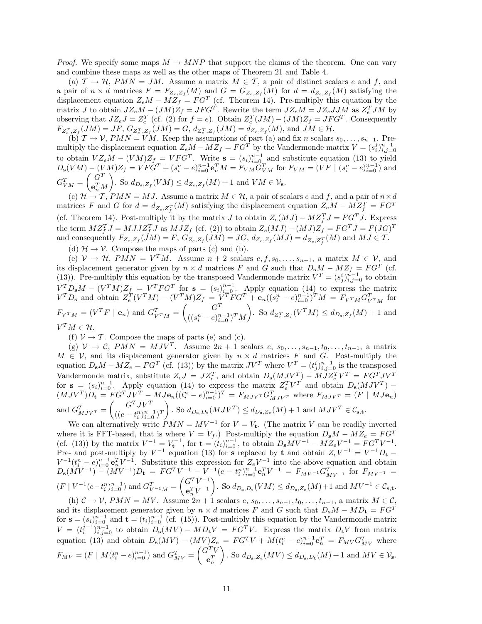*Proof.* We specify some maps  $M \to MNP$  that support the claims of the theorem. One can vary and combine these maps as well as the other maps of Theorem 21 and Table 4.

(a)  $\mathcal{T} \to \mathcal{H}$ ,  $PMN = JM$ . Assume a matrix  $M \in \mathcal{T}$ , a pair of distinct scalars e and f, and a pair of  $n \times d$  matrices  $F = F_{Z_e, Z_f}(M)$  and  $G = G_{Z_e, Z_f}(M)$  for  $d = d_{Z_e, Z_f}(M)$  satisfying the displacement equation  $Z_e M - M Z_f = FG^T$  (cf. Theorem 14). Pre-multiply this equation by the matrix J to obtain  $JZ_eM - (JM)Z_f = JFG^T$ . Rewrite the term  $JZ_eM = JZ_eJJM$  as  $Z_e^TJM$  by observing that  $JZ_eJ = Z_e^T$  (cf. (2) for  $f = e$ ). Obtain  $Z_e^T(JM) - (JM)Z_f = JFG^T$ . Consequently  $F_{Z_{e}^{T},Z_{f}}(JM) = JF, G_{Z_{e}^{T},Z_{f}}(JM) = G, d_{Z_{e}^{T},Z_{f}}(JM) = d_{Z_{e},Z_{f}}(M),$  and  $JM \in \mathcal{H}$ .

(b)  $\mathcal{T} \to \mathcal{V}$ ,  $PMN = VM$ . Keep the assumptions of part (a) and fix n scalars  $s_0, \ldots, s_{n-1}$ . Premultiply the displacement equation  $Z_e M - M Z_f = FG^T$  by the Vandermonde matrix  $V = (s_i^j)_{i,j=0}^{n-1}$  to obtain  $V Z_e M - (VM) Z_f = VFG^T$ . Write  $\mathbf{s} = (s_i)_{i=0}^{n-1}$  and substitute equation (13) to yield  $D_{s}(VM) - (VM)Z_{f} = VF\dot{G}^{T} + (s_{i}^{n} - e)_{i=0}^{n-1} \mathbf{e}_{n}^{T}M = F_{VM}\dot{G}_{VM}^{T}$  for  $F_{VM} = (VF \mid (s_{i}^{n} - e)_{i=0}^{n-1})$  and  $G_{VM}^T = \begin{pmatrix} G^T \ \mathbf{e}^T \end{pmatrix}$  $\mathbf{e}_n^T M$ ). So  $d_{D_s, Z_f}(VM) \leq d_{Z_e, Z_f}(M) + 1$  and  $VM \in \mathcal{V}_s$ .

(c)  $\mathcal{H} \to \mathcal{T}$ ,  $PMN = MJ$ . Assume a matrix  $M \in \mathcal{H}$ , a pair of scalars e and f, and a pair of  $n \times d$ matrices F and G for  $d = d_{Z_e, Z_f^T}(M)$  satisfying the displacement equation  $Z_eM - M Z_f^T = FG^T$ (cf. Theorem 14). Post-multiply it by the matrix J to obtain  $Z_e(MJ) - M Z_f^T J = FG^T J$ . Express the term  $MZ_f^T J = MJJZ_f^T J$  as  $MJZ_f$  (cf. (2)) to obtain  $Z_e(MJ) - (MJ)Z_f = FG^T J = F(JG)^T$ and consequently  $F_{Z_e, Z_f}(JM) = F$ ,  $G_{Z_e, Z_f}(JM) = JG$ ,  $d_{Z_e, Z_f}(MJ) = d_{Z_e, Z_f^T}(M)$  and  $MJ \in \mathcal{T}$ .

(d)  $\mathcal{H} \rightarrow \mathcal{V}$ . Compose the maps of parts (c) and (b).

(e)  $\mathcal{V} \to \mathcal{H}$ ,  $PMN = V^TM$ . Assume  $n+2$  scalars  $e, f, s_0, \ldots, s_{n-1}$ , a matrix  $M \in \mathcal{V}$ , and its displacement generator given by  $n \times d$  matrices F and G such that  $D_s M - M Z_f = FG^T$  (cf. (13)). Pre-multiply this equation by the transposed Vandermonde matrix  $V^T = (s_j^i)_{i,j=0}^{n-1}$  to obtain  $V^T P_s M - (V^T M) Z_f = V^T F G^T$  for  $s = (s_i)_{i=0}^{n-1}$ . Apply equation (14) to express the matrix  $V^T D_s$  and obtain  $Z_e^T (V^T M) - (V^T M) Z_f = V^T F G^T + \mathbf{e}_n ((s_i^n - e)_{i=0}^{n-1})^T M = F_{V^T M} G_{V^T M}^T$  for  $F_{V^{T}M} = (V^{T}F \mid \mathbf{e}_n)$  and  $G_{V^{T}M}^{T} = \begin{pmatrix} G^{T} & \cdots & G^{T} \ (\cdots & \cdots & G^{T} \end{pmatrix}$  $((s_i^n - e)_{i=0}^{n-1})^T M$ ). So  $d_{Z_e^T, Z_f}(V^T M) \leq d_{D_s, Z_f}(M) + 1$  and

 $V^TM \in \mathcal{H}.$ 

(f)  $V \rightarrow T$ . Compose the maps of parts (e) and (c).

(g)  $V \to C$ ,  $PMN = MJV^T$ . Assume  $2n+1$  scalars  $e, s_0, \ldots, s_{n-1}, t_0, \ldots, t_{n-1}$ , a matrix  $M \in \mathcal{V}$ , and its displacement generator given by  $n \times d$  matrices F and G. Post-multiply the equation  $D_s M - M Z_e = FG^T$  (cf. (13)) by the matrix  $JV^T$  where  $V^T = (t_j^i)_{i,j=0}^{n-1}$  is the transposed Vandermonde matrix, substitute  $Z_eJ = JZ_e^T$ , and obtain  $D_s(MJV^T) - MJZ_e^TV^T = FG^TJV^T$ for  $s = (s_i)_{i=0}^{n-1}$ . Apply equation (14) to express the matrix  $Z_e^T V^T$  and obtain  $D_s(MJV^T)$  –  $(MJV^T)D_t = FG^TJV^T - MJe_n((t_i^n - e)_{i=0}^{n-1})^T = F_{MJV^T}G_{MJV^T}^T$  where  $F_{MJV^T} = (F \mid MJ\mathbf{e}_n)$ and  $G_{MJV^T}^T = \begin{pmatrix} G^T J V^T \\ (C - t^n)^n \end{pmatrix}$  $((e - t_i^n)_{i=0}^{n-1})^T$ ). So  $d_{D_s, D_t}(MJV^T) \leq d_{D_s, Z_e}(M) + 1$  and  $MJV^T \in \mathcal{C}_{s, \mathbf{t}}$ .

We can alternatively write  $PMN = MV^{-1}$  for  $V = V_t$ . (The matrix V can be readily inverted where it is FFT-based, that is where  $V = V_f$ .) Post-multiply the equation  $D_s M - M Z_e = F G^T$ (cf. (13)) by the matrix  $V^{-1} = V_t^{-1}$ , for  $\mathbf{t} = (t_i)_{i=0}^{n-1}$ , to obtain  $D_s M V^{-1} - M Z_e V^{-1} = F G^T V^{-1}$ . Pre- and post-multiply by  $V^{-1}$  equation (13) for s replaced by t and obtain  $Z_eV^{-1} = V^{-1}D_t$  $V^{-1}(t_i^n - e)_{i=0}^{n-1}$ **e** $_0^T V^{-1}$ . Substitute this expression for  $Z_eV^{-1}$  into the above equation and obtain  $D_{s}(MV^{-1}) - (MV^{-1})D_{t} = FG^{T}V^{-1} - V^{-1}(e - t_{i}^{n})_{i=0}^{n-1}e_{n}^{T}V^{-1} = F_{MV^{-1}}G_{MV^{-1}}^{T}$  for  $F_{MV^{-1}} =$  $(F | V^{-1}(e-t_i^n)_{i=0}^{n-1})$  and  $G_{V^{-1}M}^T = \begin{pmatrix} G^T V^{-1} \\ e^T V^{-1} \end{pmatrix}$  $\mathbf{e}_n^T V^{-1}$ ). So  $d_{D_s, D_t}(VM)$  ≤  $d_{D_s, Z_e}(M)$  + 1 and  $MV^{-1} \in \mathcal{C}_{s, t}$ .

(h)  $C \to V$ ,  $PMN = MV$ . Assume  $2n+1$  scalars  $e, s_0, \ldots, s_{n-1}, t_0, \ldots, t_{n-1}$ , a matrix  $M \in \mathcal{C}$ , and its displacement generator given by  $n \times d$  matrices F and G such that  $D_s M - M D_t = FG^T$ for  $\mathbf{s} = (s_i)_{i=0}^{n-1}$  and  $\mathbf{t} = (t_i)_{i=0}^{n-1}$  (cf. (15)). Post-multiply this equation by the Vandermonde matrix  $V = (t_i^{j-1})_{i,j=0}^{n-1}$  to obtain  $D_s(MV) - MD_tV = FG^TV$ . Express the matrix  $D_tV$  from matrix equation (13) and obtain  $D_s(MV) - (MV)Z_e = FG^T V + M(t_i^n - e)_{i=0}^{n-1} e_n^T = F_{MV} G_{MV}^T$  where  $F_{MV} = (F \mid M(t_i^n - e)_{i=0}^{n-1})$  and  $G_{MV}^T = \begin{pmatrix} G^T V \\ e^T \end{pmatrix}$  $\mathbf{e}_n^T$  $\Big)$ . So  $d_{D_{\mathbf{s}},Z_e}(MV) \leq d_{D_{\mathbf{s}},D_{\mathbf{t}}}(M) + 1$  and  $MV \in \mathcal{V}_{\mathbf{s}}$ .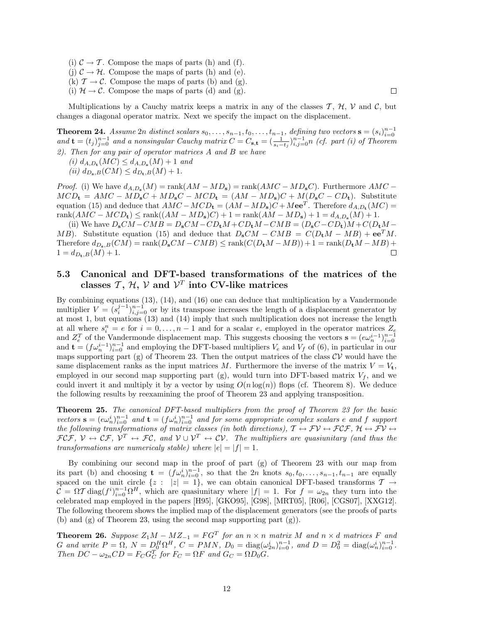(i)  $C \rightarrow T$ . Compose the maps of parts (h) and (f). (i)  $C \rightarrow \mathcal{H}$ . Compose the maps of parts (h) and (e). (k)  $\mathcal{T} \to \mathcal{C}$ . Compose the maps of parts (b) and (g). (i)  $\mathcal{H} \to \mathcal{C}$ . Compose the maps of parts (d) and (g).

Multiplications by a Cauchy matrix keeps a matrix in any of the classes  $\mathcal{T}, \mathcal{H}, \mathcal{V}$  and  $\mathcal{C}$ , but changes a diagonal operator matrix. Next we specify the impact on the displacement.

 $\Box$ 

**Theorem 24.** Assume 2n distinct scalars  $s_0, \ldots, s_{n-1}, t_0, \ldots, t_{n-1}$ , defining two vectors  $\mathbf{s} = (s_i)_{i=0}^{n-1}$ <br>and  $\mathbf{t} = (t_j)_{j=0}^{n-1}$  and a nonsingular Cauchy matrix  $C = C_{\mathbf{s}, \mathbf{t}} = (\frac{1}{s_i - t_j})_{i,j=0}^{n-1} n$  (c 2). Then for any pair of operator matrices A and B we have

- (*i*)  $d_{A,D_{\bf t}}(MC) \leq d_{A,D_{\bf s}}(M) + 1$  and
- (ii)  $d_{D_{\mathbf{s}},B}(CM) \leq d_{D_{\mathbf{t}},B}(M) + 1.$

*Proof.* (i) We have  $d_{A,D_s}(M) = \text{rank}(AM - MD_s) = \text{rank}(AMC - MD_sC)$ . Furthermore  $AMC MCD_{t} = AMC - MD_{s}C + MD_{s}C - MCD_{t} = (AM - MD_{s})C + M(D_{s}C - CD_{t}).$  Substitute equation (15) and deduce that  $AMC-MCD_{t} = (AM-MD_{s})C+Mee^{T}$ . Therefore  $d_{A,D_{t}}(MC) =$  $rank(AMC - MCD_{t}) \le rank((AM - MD_{s})C) + 1 = rank(AM - MD_{s}) + 1 = d_{A,D_{s}}(M) + 1.$ 

(ii) We have  $D_sCM - CMB = D_sCM - CD_tM + CD_tM - CMB = (D_sC - CD_t)M + C(D_tM - CD_tM)$ MB). Substitute equation (15) and deduce that  $D_sCM - CMB = C(D_tM - MB) + ee^T M$ . Therefore  $d_{D_{\mathbf{s}}:B}(CM) = \operatorname{rank}(D_{\mathbf{s}}CM - CMB) \leq \operatorname{rank}(C(D_{\mathbf{t}}M - MB) + 1 = \operatorname{rank}(D_{\mathbf{t}}M - MB) +$  $1 = d_{D_{\pm},B}(M) + 1.$  $\Box$ 

### 5.3 Canonical and DFT-based transformations of the matrices of the classes  $\mathcal{T}, \mathcal{H}, \mathcal{V}$  and  $\mathcal{V}^T$  into CV-like matrices

By combining equations (13), (14), and (16) one can deduce that multiplication by a Vandermonde multiplier  $V = (s_i^{j-1})_{i,j=0}^{n-1}$  or by its transpose increases the length of a displacement generator by at most 1, but equations (13) and (14) imply that such multiplication does not increase the length at all where  $s_i^n = e$  for  $i = 0, \ldots, n-1$  and for a scalar e, employed in the operator matrices  $Z_e$ and  $Z_e^T$  of the Vandermonde displacement map. This suggests choosing the vectors  $\mathbf{s} = (e\omega_n^{i-1})_{i=0}^{n-1}$ and  $\mathbf{t} = (f\omega_n^{i-1})_{i=0}^{n-1}$  and employing the DFT-based multipliers  $V_e$  and  $V_f$  of (6), in particular in our maps supporting part (g) of Theorem 23. Then the output matrices of the class  $CV$  would have the same displacement ranks as the input matrices M. Furthermore the inverse of the matrix  $V = V_t$ , employed in our second map supporting part (g), would turn into DFT-based matrix  $V_f$ , and we could invert it and multiply it by a vector by using  $O(n \log(n))$  flops (cf. Theorem 8). We deduce the following results by reexamining the proof of Theorem 23 and applying transposition.

Theorem 25. The canonical DFT-based multipliers from the proof of Theorem 23 for the basic vectors  $\mathbf{s} = (e\omega_n^i)_{i=0}^{n-1}$  and  $\mathbf{t} = (f\omega_n^i)_{i=0}^{n-1}$  and for some appropriate complex scalars e and f support the following transformations of matrix classes (in both directions),  $\mathcal{T} \leftrightarrow \mathcal{F} \mathcal{V} \leftrightarrow \mathcal{FCF}$ ,  $\mathcal{H} \leftrightarrow \mathcal{F} \mathcal{V} \leftrightarrow \mathcal{F} \mathcal{V} \leftrightarrow \mathcal{F} \mathcal{V} \leftrightarrow \mathcal{F} \mathcal{V} \leftrightarrow \mathcal{F} \mathcal{V} \leftrightarrow \mathcal{F} \mathcal{V} \leftrightarrow \mathcal{F} \mathcal{V} \leftrightarrow \mathcal{F} \mathcal{V}$  $\mathcal{FCF}, \mathcal{V} \leftrightarrow \mathcal{CF}, \mathcal{V}^T \leftrightarrow \mathcal{FC}, \text{ and } \mathcal{V} \cup \mathcal{V}^T \leftrightarrow \mathcal{CV}.$  The multipliers are quasiunitary (and thus the transformations are numericaly stable) where  $|e| = |f| = 1$ .

By combining our second map in the proof of part (g) of Theorem 23 with our map from its part (b) and choosing  $\mathbf{t} = (f\omega_n^i)_{i=0}^{n-1}$ , so that the 2n knots  $s_0, t_0, \ldots, s_{n-1}, t_{n-1}$  are equally spaced on the unit circle  $\{z : |z| = 1\}$ , we can obtain canonical DFT-based transforms  $\mathcal{T} \to$  $\mathcal{C} = \Omega \mathcal{T} \text{diag}(f^i)_{i=0}^{n-1} \Omega^H$ , which are quasiunitary where  $|f| = 1$ . For  $f = \omega_{2n}$  they turn into the celebrated map employed in the papers [H95], [GKO95], [G98], [MRT05], [R06], [CGS07], [XXG12]. The following theorem shows the implied map of the displacement generators (see the proofs of parts (b) and (g) of Theorem 23, using the second map supporting part (g)).

**Theorem 26.** Suppose  $Z_1M - MZ_{-1} = FG^T$  for an  $n \times n$  matrix M and  $n \times d$  matrices F and G and write  $P = \Omega$ ,  $N = D_0^H \Omega^H$ ,  $C = PMN$ ,  $D_0 = \text{diag}(\omega_{2n}^i)_{i=0}^{n-1}$ , and  $D = D_0^2 = \text{diag}(\omega_n^i)_{i=0}^{n-1}$ . Then  $DC - \omega_{2n} CD = F_C G_C^T$  for  $F_C = \Omega F$  and  $G_C = \Omega D_0 G$ .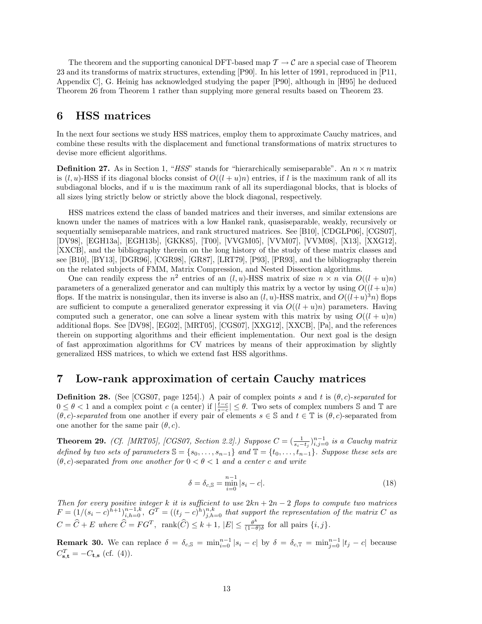The theorem and the supporting canonical DFT-based map  $\mathcal{T} \to \mathcal{C}$  are a special case of Theorem 23 and its transforms of matrix structures, extending [P90]. In his letter of 1991, reproduced in [P11, Appendix C], G. Heinig has acknowledged studying the paper [P90], although in [H95] he deduced Theorem 26 from Theorem 1 rather than supplying more general results based on Theorem 23.

## 6 HSS matrices

In the next four sections we study HSS matrices, employ them to approximate Cauchy matrices, and combine these results with the displacement and functional transformations of matrix structures to devise more efficient algorithms.

**Definition 27.** As in Section 1, "HSS" stands for "hierarchically semiseparable". An  $n \times n$  matrix is  $(l, u)$ -HSS if its diagonal blocks consist of  $O((l + u)n)$  entries, if l is the maximum rank of all its subdiagonal blocks, and if u is the maximum rank of all its superdiagonal blocks, that is blocks of all sizes lying strictly below or strictly above the block diagonal, respectively.

HSS matrices extend the class of banded matrices and their inverses, and similar extensions are known under the names of matrices with a low Hankel rank, quasiseparable, weakly, recursively or sequentially semiseparable matrices, and rank structured matrices. See [B10], [CDGLP06], [CGS07], [DV98], [EGH13a], [EGH13b], [GKK85], [T00], [VVGM05], [VVM07], [VVM08], [X13], [XXG12], [XXCB], and the bibliography therein on the long history of the study of these matrix classes and see [B10], [BY13], [DGR96], [CGR98], [GR87], [LRT79], [P93], [PR93], and the bibliography therein on the related subjects of FMM, Matrix Compression, and Nested Dissection algorithms.

One can readily express the  $n^2$  entries of an  $(l, u)$ -HSS matrix of size  $n \times n$  via  $O((l + u)n)$ parameters of a generalized generator and can multiply this matrix by a vector by using  $O((l+u)n)$ flops. If the matrix is nonsingular, then its inverse is also an  $(l, u)$ -HSS matrix, and  $O((l+u)^3n)$  flops are sufficient to compute a generalized generator expressing it via  $O((l + u)n)$  parameters. Having computed such a generator, one can solve a linear system with this matrix by using  $O((l + u)n)$ additional flops. See [DV98], [EG02], [MRT05], [CGS07], [XXG12], [XXCB], [Pa], and the references therein on supporting algorithms and their efficient implementation. Our next goal is the design of fast approximation algorithms for CV matrices by means of their approximation by slightly generalized HSS matrices, to which we extend fast HSS algorithms.

## 7 Low-rank approximation of certain Cauchy matrices

**Definition 28.** (See [CGS07, page 1254].) A pair of complex points s and t is  $(\theta, c)$ -separated for  $0 \leq \theta < 1$  and a complex point c (a center) if  $\left|\frac{t-c}{s-c}\right| \leq \theta$ . Two sets of complex numbers S and T are  $(\theta, c)$ -separated from one another if every pair of elements  $s \in \mathbb{S}$  and  $t \in \mathbb{T}$  is  $(\theta, c)$ -separated from one another for the same pair  $(\theta, c)$ .

**Theorem 29.** (Cf. [MRT05], [CGS07, Section 2.2].) Suppose  $C = (\frac{1}{s_i-t_j})_{i,j=0}^{n-1}$  is a Cauchy matrix defined by two sets of parameters  $\mathbb{S} = \{s_0, \ldots, s_{n-1}\}\$  and  $\mathbb{T} = \{t_0, \ldots, t_{n-1}\}\$ . Suppose these sets are  $(\theta, c)$ -separated from one another for  $0 < \theta < 1$  and a center c and write

$$
\delta = \delta_{c,S} = \min_{i=0}^{n-1} |s_i - c|.
$$
\n(18)

Then for every positive integer k it is sufficient to use  $2kn + 2n - 2$  flops to compute two matrices  $F = (1/(s_i - c)^{\tilde{h}+1})_{i,h=0}^{n-1,k}, \tilde{G}^T = ((t_j - c)^{\tilde{h}})_{j,h=0}^{n,k}$  that support the representation of the matrix C as  $C = \widehat{C} + E$  where  $\widehat{C} = FG^T$ , rank $(\widehat{C}) \leq k + 1$ ,  $|E| \leq \frac{\theta^k}{(1 - \theta)^k}$  $\frac{\theta^{n}}{(1-\theta)\delta}$  for all pairs  $\{i, j\}.$ 

**Remark 30.** We can replace  $\delta = \delta_{c,S} = \min_{i=0}^{n-1} |s_i - c|$  by  $\delta = \delta_{c,T} = \min_{j=0}^{n-1} |t_j - c|$  because  $C_{\mathbf{s},\mathbf{t}}^T = -C_{\mathbf{t},\mathbf{s}}$  (cf. (4)).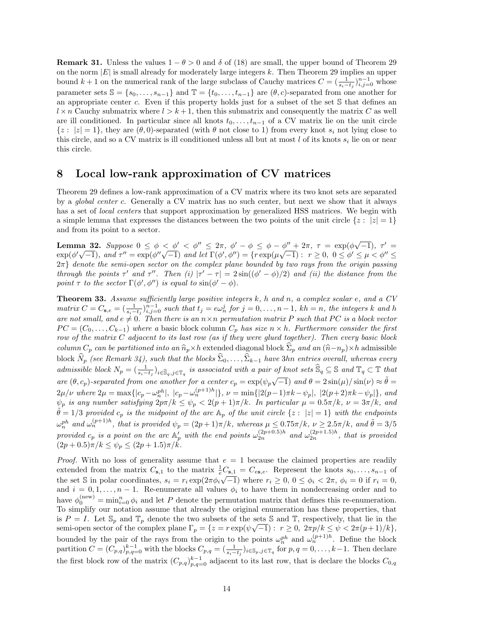**Remark 31.** Unless the values  $1 - \theta > 0$  and  $\delta$  of (18) are small, the upper bound of Theorem 29 on the norm  $|E|$  is small already for moderately large integers k. Then Theorem 29 implies an upper bound  $k+1$  on the numerical rank of the large subclass of Cauchy matrices  $C = (\frac{1}{s_i - t_j})_{i,j=0}^{n-1}$  whose parameter sets  $\mathbb{S} = \{s_0, \ldots, s_{n-1}\}\$  and  $\mathbb{T} = \{t_0, \ldots, t_{n-1}\}\$  are  $(\theta, c)$ -separated from one another for an appropriate center c. Even if this property holds just for a subset of the set S that defines an  $l \times n$  Cauchy submatrix where  $l > k+1$ , then this submatrix and consequently the matrix C as well are ill conditioned. In particular since all knots  $t_0, \ldots, t_{n-1}$  of a CV matrix lie on the unit circle  $\{z : |z| = 1\}$ , they are  $(\theta, 0)$ -separated (with  $\theta$  not close to 1) from every knot  $s_i$  not lying close to this circle, and so a CV matrix is ill conditioned unless all but at most  $l$  of its knots  $s_i$  lie on or near this circle.

## 8 Local low-rank approximation of CV matrices

Theorem 29 defines a low-rank approximation of a CV matrix where its two knot sets are separated by a global center c. Generally a CV matrix has no such center, but next we show that it always has a set of *local centers* that support approximation by generalized HSS matrices. We begin with a simple lemma that expresses the distances between the two points of the unit circle  $\{z : |z| = 1\}$ and from its point to a sector.

Lemma 32. Suppose  $0 \leq \phi \leq \phi' \leq \phi'' \leq 2\pi$ ,  $\phi' - \phi \leq \phi - \phi'' + 2\pi$ ,  $\tau = \exp(\phi \sqrt{-1})$ ,  $\tau' =$ **Lemma 32.** Suppose  $0 \le \phi < \phi \le \phi \le 2\pi$ ,  $\phi - \phi \le \phi - \phi' + 2\pi$ ,  $\tau = \exp(\phi \sqrt{-1})$ ,  $\tau = \exp(\phi' \sqrt{-1})$ , and  $\tau'' = \exp(\phi'' \sqrt{-1})$  and let  $\Gamma(\phi', \phi'') = \{r \exp(\mu \sqrt{-1}) : r \ge 0, 0 \le \phi' \le \mu < \phi'' \le \pi\}$  $2\pi$ } denote the semi-open sector on the complex plane bounded by two rays from the origin passing through the points  $\tau'$  and  $\tau''$ . Then (i)  $|\tau' - \tau| = 2\sin((\phi' - \phi)/2)$  and (ii) the distance from the point  $\tau$  to the sector  $\Gamma(\phi', \phi'')$  is equal to  $\sin(\phi' - \phi)$ .

**Theorem 33.** Assume sufficiently large positive integers  $k$ ,  $h$  and  $n$ , a complex scalar  $e$ , and a  $CV$ matrix  $C = C_{\mathbf{s},e} = (\frac{1}{s_i-t_j})_{i,j=0}^{n-1}$  such that  $t_j = e\omega_n^j$  for  $j = 0,\ldots, n-1$ ,  $kh = n$ , the integers k and h are not small, and  $e \neq 0$ . Then there is an  $n \times n$  permutation matrix P such that PC is a block vector  $PC = (C_0, \ldots, C_{k-1})$  where a basic block column  $C_p$  has size  $n \times h$ . Furthermore consider the first row of the matrix C adjacent to its last row (as if they were glued together). Then every basic block column  $C_p$  can be partitioned into an  $\hat{n}_p\times h$  extended diagonal block  $\hat{\Sigma}_p$  and an  $(\hat{n}-n_p)\times h$  admissible block  $\widehat{N}_p$  (see Remark 34), such that the blocks  $\widehat{\Sigma}_0, \ldots, \widehat{\Sigma}_{k-1}$  have 3hn entries overall, whereas every admissible block  $N_p = (\frac{1}{s_i-t_j})_{i \in \widehat{S}_q, j \in \mathbb{T}_q}$  is associated with a pair of knot sets  $\widehat{S}_q \subseteq S$  and  $\mathbb{T}_q \subset \mathbb{T}$  that are  $(\theta, c_p)$ -separated from one another for a center  $c_p = \exp(\psi_p \sqrt{-1})$  and  $\theta = 2 \sin(\mu)/\sin(\nu) \approx \tilde{\theta} =$  $2\mu/\nu$  where  $2\mu = \max\{|c_p - \omega_n^{ph}|, |c_p - \omega_n^{(p+1)h}|\}, \nu = \min\{|2(p-1)\pi k - \psi_p|, |2(p+2)\pi k - \psi_p|\},$  and  $\psi_p$  is any number satisfying  $2p\pi/k \leq \psi_p < 2(p+1)\pi/k$ . In particular  $\mu = 0.5\pi/k$ ,  $\nu = 3\pi/k$ , and  $\tilde{\theta} = 1/3$  provided  $c_p$  is the midpoint of the arc  $A_p$  of the unit circle  $\{z : |z| = 1\}$  with the endpoints  $\omega_n^{ph}$  and  $\omega_n^{(p+1)h}$ , that is provided  $\psi_p = (2p+1)\pi/k$ , whereas  $\mu \leq 0.75\pi/k$ ,  $\nu \geq 2.5\pi/k$ , and  $\tilde{\theta} = 3/5$ provided  $c_p$  is a point on the arc  $\mathbb{A}'_p$  with the end points  $\omega_{2n}^{(2p+0.5)h}$  and  $\omega_{2n}^{(2p+1.5)h}$ , that is provided  $(2p+0.5)\pi/k \leq \psi_p \leq (2p+1.5)\pi/k$ .

*Proof.* With no loss of generality assume that  $e = 1$  because the claimed properties are readily extended from the matrix  $C_{s,1}$  to the matrix  $\frac{1}{e}C_{s,1} = C_{es,e}$ . Represent the knots  $s_0, \ldots, s_{n-1}$  of the set S in polar coordinates,  $s_i = r_i \exp(2\pi \phi_i \sqrt{-1})$  where  $r_i \geq 0, 0 \leq \phi_i < 2\pi, \phi_i = 0$  if  $r_i = 0$ , and  $i = 0, 1, \ldots, n - 1$ . Re-enumerate all values  $\phi_i$  to have them in nondecreasing order and to have  $\phi_0^{(\text{new})} = \min_{i=0}^n \phi_i$  and let P denote the permutation matrix that defines this re-enumeration. To simplify our notation assume that already the original enumeration has these properties, that is  $P = I$ . Let  $\mathbb{S}_p$  and  $\mathbb{T}_p$  denote the two subsets of the sets  $\mathbb{S}$  and  $\mathbb{T}_p$ , respectively, that lie in the is  $P = I$ . Let  $\mathcal{S}_p$  and  $\mathbb{I}_p$  denote the two subsets of the sets  $\mathcal{S}$  and  $\mathbb{I}_\lambda$ , respectively, that he in the semi-open sector of the complex plane  $\Gamma_p = \{z = r \exp(\psi \sqrt{-1}) : r \geq 0, 2\pi p/k \leq \psi \leq 2\pi (p+1)/k\},\$ bounded by the pair of the rays from the origin to the points  $\omega_n^{ph}$  and  $\omega_n^{(p+1)h}$ . Define the block partition  $C = (C_{p,q})_{p,q=0}^{k-1}$  with the blocks  $C_{p,q} = (\frac{1}{s_i-t_j})_{i \in \mathbb{S}_p, j \in \mathbb{T}_q}$  for  $p,q=0,\ldots,k-1$ . Then declare the first block row of the matrix  $(C_{p,q})_{p,q=0}^{k-1}$  adjacent to its last row, that is declare the blocks  $C_{0,q}$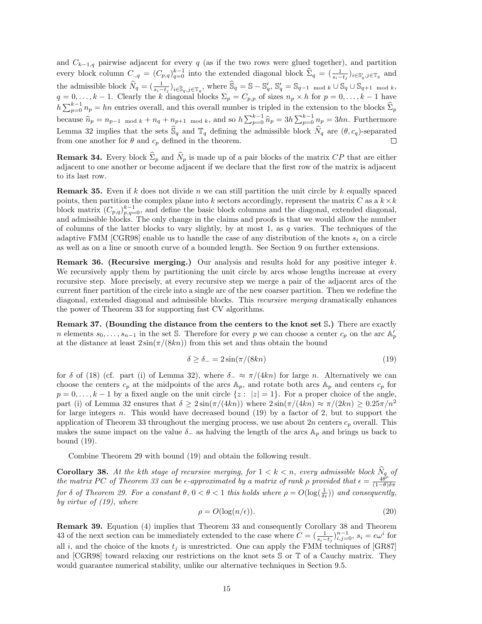and  $C_{k-1,q}$  pairwise adjacent for every q (as if the two rows were glued together), and partition every block column  $C_{.,q} = (C_{p,q})_{q=0}^{k-1}$  into the extended diagonal block  $\hat{\Sigma}_q = (\frac{1}{s_i-t_j})_{i \in \mathbb{S}_q', j \in \mathbb{T}_q}$  and the admissible block  $\widehat{N}_q = (\frac{1}{s_i-t_j})_{i \in \widehat{S}_q, j \in \mathbb{T}_q}$ , where  $\widehat{S}_q = S - S'_q$ ,  $S'_q = S_{q-1 \mod k} \cup S_q \cup S_{q+1 \mod k}$ ,  $q = 0, \ldots, k - 1$ . Clearly the k diagonal blocks  $\Sigma_p = C_{p,p}$  of sizes  $n_p \times h$  for  $p = 0, \ldots, k - 1$  have  $h\sum_{p=0}^{k-1}n_p = hn$  entries overall, and this overall number is tripled in the extension to the blocks  $\hat{\Sigma}_p$ because  $\hat{n}_p = n_{p-1 \mod k} + n_q + n_{p+1 \mod k}$ , and so  $h \sum_{p=0}^{k-1} \hat{n}_p = 3h \sum_{p=0}^{k-1} n_p = 3hn$ . Furthermore Lemma 32 implies that the sets  $\widehat{S}_q$  and  $\mathbb{T}_q$  defining the admissible block  $\widehat{N}_q$  are  $(\theta, c_q)$ -separated from one another for  $\theta$  and  $c_p$  defined in the theorem.

**Remark 34.** Every block  $\hat{\Sigma}_p$  and  $\hat{N}_p$  is made up of a pair blocks of the matrix CP that are either adjacent to one another or become adjacent if we declare that the first row of the matrix is adjacent to its last row.

**Remark 35.** Even if k does not divide n we can still partition the unit circle by k equally spaced points, then partition the complex plane into k sectors accordingly, represent the matrix C as a  $k \times k$ block matrix  $(C_{p,q})_{p,q=0}^{k-1}$ , and define the basic block columns and the diagonal, extended diagonal, and admissible blocks. The only change in the claims and proofs is that we would allow the number of columns of the latter blocks to vary slightly, by at most 1, as  $q$  varies. The techniques of the adaptive FMM [CGR98] enable us to handle the case of any distribution of the knots  $s_i$  on a circle as well as on a line or smooth curve of a bounded length. See Section 9 on further extensions.

**Remark 36. (Recursive merging.)** Our analysis and results hold for any positive integer  $k$ . We recursively apply them by partitioning the unit circle by arcs whose lengths increase at every recursive step. More precisely, at every recursive step we merge a pair of the adjacent arcs of the current finer partition of the circle into a single arc of the new coarser partition. Then we redefine the diagonal, extended diagonal and admissible blocks. This recursive merging dramatically enhances the power of Theorem 33 for supporting fast CV algorithms.

Remark 37. (Bounding the distance from the centers to the knot set S.) There are exactly n elements  $s_0, \ldots, s_{n-1}$  in the set S. Therefore for every p we can choose a center  $c_p$  on the arc  $\mathbb{A}_p'$ at the distance at least  $2\sin(\pi/(8kn))$  from this set and thus obtain the bound

$$
\delta \ge \delta_- = 2\sin(\pi/(8kn) \tag{19}
$$

for  $\delta$  of (18) (cf. part (i) of Lemma 32), where  $\delta_-\approx \pi/(4kn)$  for large n. Alternatively we can choose the centers  $c_p$  at the midpoints of the arcs  $A_p$ , and rotate both arcs  $A_p$  and centers  $c_p$  for  $p = 0, \ldots, k-1$  by a fixed angle on the unit circle  $\{z : |z| = 1\}$ . For a proper choice of the angle, part (i) of Lemma 32 ensures that  $\delta \geq 2\sin(\pi/(4kn))$  where  $2\sin(\pi/(4kn)) \approx \pi/(2kn) \geq 0.25\pi/n^2$ for large integers n. This would have decreased bound  $(19)$  by a factor of 2, but to support the application of Theorem 33 throughout the merging process, we use about 2n centers  $c_p$  overall. This makes the same impact on the value  $\delta_{-}$  as halving the length of the arcs  $\mathbb{A}_p$  and brings us back to bound (19).

Combine Theorem 29 with bound (19) and obtain the following result.

**Corollary 38.** At the kth stage of recursive merging, for  $1 < k < n$ , every admissible block  $N_q$  of the matrix PC of Theorem 33 can be  $\epsilon$ -approximated by a matrix of rank  $\rho$  provided that  $\epsilon = \frac{4\theta^{\rho}}{(1-\theta)\delta\pi}$  $(1-\theta)\delta\pi$ for  $\delta$  of Theorem 29. For a constant  $\theta$ ,  $0 < \theta < 1$  this holds where  $\rho = O(\log(\frac{1}{\delta \epsilon}))$  and consequently, by virtue of  $(19)$ , where

$$
\rho = O(\log(n/\epsilon)).\tag{20}
$$

Remark 39. Equation (4) implies that Theorem 33 and consequently Corollary 38 and Theorem 43 of the next section can be immediately extended to the case where  $C = (\frac{1}{s_i-t_j})_{i,j=0}^{n-1}$ ,  $s_i = e\omega^i$  for all i, and the choice of the knots  $t_i$  is unrestricted. One can apply the FMM techniques of [GR87] and [CGR98] toward relaxing our restrictions on the knot sets S or T of a Cauchy matrix. They would guarantee numerical stability, unlike our alternative techniques in Section 9.5.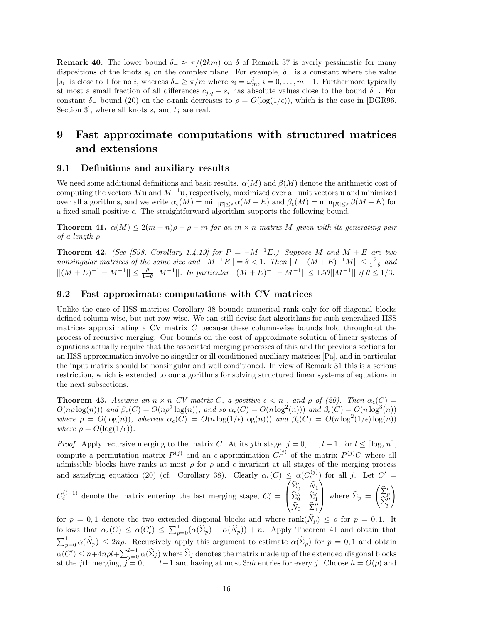**Remark 40.** The lower bound  $\delta_-\approx \pi/(2km)$  on  $\delta$  of Remark 37 is overly pessimistic for many dispositions of the knots  $s_i$  on the complex plane. For example,  $\delta_-$  is a constant where the value  $|s_i|$  is close to 1 for no i, whereas  $\delta_- \geq \pi/m$  where  $s_i = \omega_m^i$ ,  $i = 0, \ldots, m-1$ . Furthermore typically at most a small fraction of all differences  $c_{j,q} - s_i$  has absolute values close to the bound  $\delta$ -. For constant  $\delta_-$  bound (20) on the e-rank decreases to  $\rho = O(\log(1/\epsilon))$ , which is the case in [DGR96, Section 3, where all knots  $s_i$  and  $t_j$  are real.

## 9 Fast approximate computations with structured matrices and extensions

#### 9.1 Definitions and auxiliary results

We need some additional definitions and basic results.  $\alpha(M)$  and  $\beta(M)$  denote the arithmetic cost of computing the vectors  $M\mathbf{u}$  and  $M^{-1}\mathbf{u}$ , respectively, maximized over all unit vectors **u** and minimized over all algorithms, and we write  $\alpha_{\epsilon}(M) = \min_{|E| \le \epsilon} \alpha(M + E)$  and  $\beta_{\epsilon}(M) = \min_{|E| \le \epsilon} \beta(M + E)$  for a fixed small positive  $\epsilon$ . The straightforward algorithm supports the following bound.

**Theorem 41.**  $\alpha(M) \leq 2(m+n)\rho - \rho - m$  for an  $m \times n$  matrix M given with its generating pair of a length ρ.

**Theorem 42.** (See [S98, Corollary 1.4.19] for  $P = -M^{-1}E$ .) Suppose M and  $M + E$  are two nonsingular matrices of the same size and  $||M^{-1}E|| = \theta < 1$ . Then  $||I - (M + E)^{-1}M|| \le \frac{\theta}{1-\theta}$  and  $||(M+E)^{-1} - M^{-1}|| \leq \frac{\theta}{1-\theta} ||M^{-1}||$ . In particular  $||(M+E)^{-1} - M^{-1}|| \leq 1.5\theta ||M^{-1}||$  if  $\theta \leq 1/3$ .

#### 9.2 Fast approximate computations with CV matrices

Unlike the case of HSS matrices Corollary 38 bounds numerical rank only for off-diagonal blocks defined column-wise, but not row-wise. We can still devise fast algorithms for such generalized HSS matrices approximating a CV matrix C because these column-wise bounds hold throughout the process of recursive merging. Our bounds on the cost of approximate solution of linear systems of equations actually require that the associated merging processes of this and the previous sections for an HSS approximation involve no singular or ill conditioned auxiliary matrices [Pa], and in particular the input matrix should be nonsingular and well conditioned. In view of Remark 31 this is a serious restriction, which is extended to our algorithms for solving structured linear systems of equations in the next subsections.

**Theorem 43.** Assume an  $n \times n$  CV matrix C, a positive  $\epsilon < n$ , and  $\rho$  of (20). Then  $\alpha_{\epsilon}(C)$  $O(n\rho \log(n))$  and  $\beta_{\epsilon}(C) = O(n\rho^2 \log(n))$ , and so  $\alpha_{\epsilon}(C) = O(n \log^2(n))$  and  $\beta_{\epsilon}(C) = O(n \log^3(n))$ where  $\rho = O(\log(n))$ , whereas  $\alpha_{\epsilon}(C) = O(n \log(1/\epsilon) \log(n))$  and  $\beta_{\epsilon}(C) = O(n \log^{2}(1/\epsilon) \log(n))$ where  $\rho = O(\log(1/\epsilon)).$ 

*Proof.* Apply recursive merging to the matrix C. At its jth stage,  $j = 0, \ldots, l-1$ , for  $l \leq \lceil \log_2 n \rceil$ , compute a permutation matrix  $P^{(j)}$  and an  $\epsilon$ -approximation  $C_{\epsilon}^{(j)}$  of the matrix  $P^{(j)}C$  where all admissible blocks have ranks at most  $\rho$  for  $\rho$  and  $\epsilon$  invariant at all stages of the merging process and satisfying equation (20) (cf. Corollary 38). Clearly  $\alpha_{\epsilon}(C) \leq \alpha(C_{\epsilon}^{(j)})$  for all j. Let  $C' =$ 

 $C_{\epsilon}^{(l-1)}$  denote the matrix entering the last merging stage,  $C_{\epsilon}'$  =  $\sqrt{ }$  $\left\lfloor \right\rfloor$  $\widehat{\Sigma}_0'$   $\widehat{N}_1$  $\begin{matrix} \widehat{\Sigma}''_0 & \widehat{\Sigma}'_1 \ \widehat{N}_0 & \widehat{\Sigma}''_1 \end{matrix}$  $\setminus$ where  $\Sigma_p =$  $\begin{pmatrix} \widehat{\Sigma}^{\prime}_p \\ \widehat{\Sigma}^{\prime \prime}_p \end{pmatrix}$  $\setminus$ 

for  $p = 0, 1$  denote the two extended diagonal blocks and where  $rank(\tilde{N}_p) \leq \rho$  for  $p = 0, 1$ . It follows that  $\alpha_{\epsilon}(C) \leq \alpha(C_{\epsilon}') \leq \sum_{p=0}^{1} (\alpha(\widehat{\Sigma}_{p}) + \alpha(\widehat{N}_{p})) + n$ . Apply Theorem 41 and obtain that  $\sum_{p=0}^{1} \alpha(\widehat{N}_p) \leq 2n\rho$ . Recursively apply this argument to estimate  $\alpha(\widehat{\Sigma}_p)$  for  $p=0,1$  and obtain  $\alpha(C') \leq n + 4n\rho l + \sum_{j=0}^{l-1} \alpha(\widehat{\Sigma}_j)$  where  $\widehat{\Sigma}_j$  denotes the matrix made up of the extended diagonal blocks at the jth merging,  $j = 0, \ldots, l-1$  and having at most 3nh entries for every j. Choose  $h = O(\rho)$  and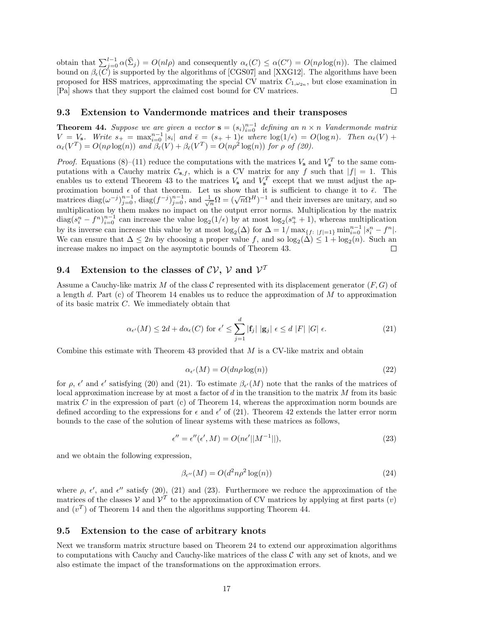obtain that  $\sum_{j=0}^{l-1} \alpha(\hat{\Sigma}_j) = O(nl\rho)$  and consequently  $\alpha_{\epsilon}(C) \leq \alpha(C') = O(n\rho \log(n))$ . The claimed bound on  $\beta_{\epsilon}(C)$  is supported by the algorithms of [CGS07] and [XXG12]. The algorithms have been proposed for HSS matrices, approximating the special CV matrix  $C_{1,\omega_{2n}}$ , but close examination in [Pa] shows that they support the claimed cost bound for CV matrices.

#### 9.3 Extension to Vandermonde matrices and their transposes

**Theorem 44.** Suppose we are given a vector  $\mathbf{s} = (s_i)_{i=0}^{n-1}$  defining an  $n \times n$  Vandermonde matrix  $V = V_s$ . Write  $s_+ = \max_{i=0}^{n-1} |s_i|$  and  $\bar{\epsilon} = (s_+ + 1)\epsilon$  where  $\log(1/\epsilon) = O(\log n)$ . Then  $\alpha_{\bar{\epsilon}}(V)$  +  $\alpha_{\bar{\epsilon}}(V^T) = O(n\rho \log(n))$  and  $\beta_{\bar{\epsilon}}(V) + \beta_{\bar{\epsilon}}(V^T) = O(n\rho^2 \log(n))$  for  $\rho$  of (20).

*Proof.* Equations (8)–(11) reduce the computations with the matrices  $V_s$  and  $V_s^T$  to the same computations with a Cauchy matrix  $C_{s,f}$ , which is a CV matrix for any f such that  $|f| = 1$ . This enables us to extend Theorem 43 to the matrices  $V_{s}$  and  $V_{s}^{T}$  except that we must adjust the approximation bound  $\epsilon$  of that theorem. Let us show that it is sufficient to change it to  $\bar{\epsilon}$ . The proximation bound to that theorem. Let us show that it is sumcrem to change it to  $\epsilon$ . The matrices diag( $\omega^{-j}$ ) $_{j=0}^{n-1}$ , diag( $f^{-j}$ ) $_{j=0}^{n-1}$ , and  $\frac{1}{\sqrt{n}}\Omega = (\sqrt{n}\Omega^H)^{-1}$  and their inverses are unitary, and s multiplication by them makes no impact on the output error norms. Multiplication by the matrix  $diag(s_i^n - f^n)_{i=0}^{n-1}$  can increase the value  $log_2(1/\epsilon)$  by at most  $log_2(s_i^n + 1)$ , whereas multiplication by its inverse can increase this value by at most  $\log_2(\Delta)$  for  $\Delta = 1/\max_{\{f: |f|=1\}} \min_{i=0}^{n-1} |s_i^n - f^n|$ . We can ensure that  $\Delta \leq 2n$  by choosing a proper value f, and so  $\log_2(\Delta) \leq 1 + \log_2(n)$ . Such an increase makes no impact on the asymptotic bounds of Theorem 43. □

## 9.4 Extension to the classes of  $CV, V$  and  $V^T$

Assume a Cauchy-like matrix M of the class C represented with its displacement generator  $(F, G)$  of a length d. Part (c) of Theorem 14 enables us to reduce the approximation of M to approximation of its basic matrix C. We immediately obtain that

$$
\alpha_{\epsilon'}(M) \le 2d + d\alpha_{\epsilon}(C) \text{ for } \epsilon' \le \sum_{j=1}^d |\mathbf{f}_j| \, |\mathbf{g}_j| \, \epsilon \le d \, |F| \, |G| \, \epsilon. \tag{21}
$$

Combine this estimate with Theorem 43 provided that  $M$  is a CV-like matrix and obtain

$$
\alpha_{\epsilon'}(M) = O(dn\rho \log(n))\tag{22}
$$

for  $\rho$ ,  $\epsilon'$  and  $\epsilon'$  satisfying (20) and (21). To estimate  $\beta_{\epsilon'}(M)$  note that the ranks of the matrices of local approximation increase by at most a factor of d in the transition to the matrix M from its basic matrix C in the expression of part (c) of Theorem 14, whereas the approximation norm bounds are defined according to the expressions for  $\epsilon$  and  $\epsilon'$  of (21). Theorem 42 extends the latter error norm bounds to the case of the solution of linear systems with these matrices as follows,

$$
\epsilon'' = \epsilon''(\epsilon', M) = O(n\epsilon'||M^{-1}||),\tag{23}
$$

and we obtain the following expression,

$$
\beta_{\epsilon''}(M) = O(d^2 n \rho^2 \log(n))\tag{24}
$$

where  $\rho$ ,  $\epsilon'$ , and  $\epsilon''$  satisfy (20), (21) and (23). Furthermore we reduce the approximation of the matrices of the classes V and  $\mathcal{V}^T$  to the approximation of CV matrices by applying at first parts  $(v)$ and  $(v^T)$  of Theorem 14 and then the algorithms supporting Theorem 44.

#### 9.5 Extension to the case of arbitrary knots

Next we transform matrix structure based on Theorem 24 to extend our approximation algorithms to computations with Cauchy and Cauchy-like matrices of the class  $\mathcal C$  with any set of knots, and we also estimate the impact of the transformations on the approximation errors.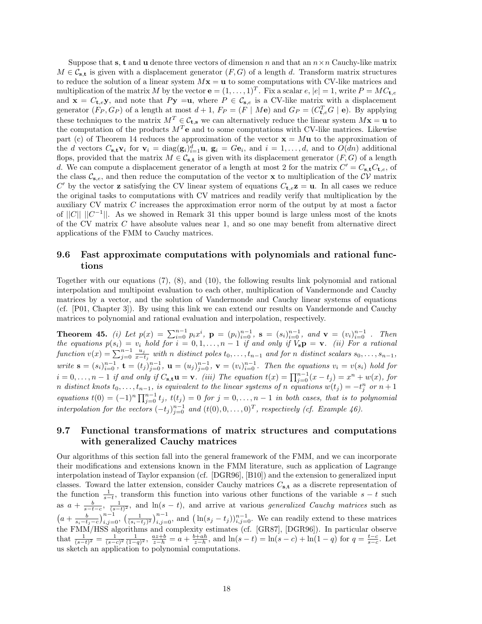Suppose that s, t and u denote three vectors of dimension n and that an  $n \times n$  Cauchy-like matrix  $M \in \mathcal{C}_{\mathbf{s},\mathbf{t}}$  is given with a displacement generator  $(F, G)$  of a length d. Transform matrix structures to reduce the solution of a linear system  $Mx = u$  to some computations with CV-like matrices and multiplication of the matrix M by the vector  $\mathbf{e} = (1, \ldots, 1)^T$ . Fix a scalar  $e, |e| = 1$ , write  $P = MC_{\mathbf{t}, e}$ and  $\mathbf{x} = C_{t,e} \mathbf{y}$ , and note that  $P\mathbf{y} = \mathbf{u}$ , where  $P \in \mathcal{C}_{s,e}$  is a CV-like matrix with a displacement generator  $(F_P, G_P)$  of a length at most  $d+1$ ,  $F_P = (F \mid M\mathbf{e})$  and  $G_P = (C_{\mathbf{t},e}^T G \mid \mathbf{e})$ . By applying these techniques to the matrix  $M^T \in \mathcal{C}_{\mathbf{t},\mathbf{s}}$  we can alternatively reduce the linear system  $M\mathbf{x} = \mathbf{u}$  to the computation of the products  $M<sup>T</sup>e$  and to some computations with CV-like matrices. Likewise part (c) of Theorem 14 reduces the approximation of the vector  $\mathbf{x} = M\mathbf{u}$  to the approximation of the d vectors  $C_{\mathbf{s},\mathbf{t}}\mathbf{v}_i$  for  $\mathbf{v}_i = \text{diag}(\mathbf{g}_i)_{i=1}^d \mathbf{u}$ ,  $\mathbf{g}_i = G\mathbf{e}_i$ , and  $i = 1,\ldots,d$ , and to  $O(dn)$  additional flops, provided that the matrix  $M \in \mathcal{C}_{s,t}$  is given with its displacement generator  $(F, G)$  of a length d. We can compute a displacement generator of a length at most 2 for the matrix  $C' = C_{s,t} C_{t,e}$ , of the class  $\mathcal{C}_{s,e}$ , and then reduce the computation of the vector x to multiplication of the  $\mathcal{CV}$  matrix C' by the vector **z** satisfying the CV linear system of equations  $C_{t,e}z = u$ . In all cases we reduce the original tasks to computations with CV matrices and readily verify that multiplication by the auxiliary CV matrix C increases the approximation error norm of the output by at most a factor of  $||C|| ||C^{-1}||$ . As we showed in Remark 31 this upper bound is large unless most of the knots of the CV matrix  $C$  have absolute values near 1, and so one may benefit from alternative direct applications of the FMM to Cauchy matrices.

#### 9.6 Fast approximate computations with polynomials and rational functions

Together with our equations (7), (8), and (10), the following results link polynomial and rational interpolation and multipoint evaluation to each other, multiplication of Vandermonde and Cauchy matrices by a vector, and the solution of Vandermonde and Cauchy linear systems of equations (cf. [P01, Chapter 3]). By using this link we can extend our results on Vandermonde and Cauchy matrices to polynomial and rational evaluation and interpolation, respectively.

Theorem 45. (i) Let  $p(x) = \sum_{i=0}^{n-1} p_i x^i$ ,  $p = (p_i)_{i=0}^{n-1}$ ,  $s = (s_i)_{i=0}^{n-1}$ , and  $v = (v_i)_{i=0}^{n-1}$ . Then the equations  $p(s_i) = v_i$  hold for  $i = 0, 1, ..., n-1$  if and only if  $V_s \mathbf{p} = \mathbf{v}$ . (ii) For a rational function  $v(x) = \sum_{j=0}^{n-1} \frac{u_j}{x-j}$  $\frac{u_j}{x-t_j}$  with n distinct poles  $t_0, \ldots, t_{n-1}$  and for n distinct scalars  $s_0, \ldots, s_{n-1}$ , write  $\mathbf{s} = (s_i)_{i=0}^{n-1}$ ,  $\mathbf{t} = (t_j)_{j=0}^{n-1}$ ,  $\mathbf{u} = (u_j)_{j=0}^{n-1}$ ,  $\mathbf{v} = (v_i)_{i=0}^{n-1}$ . Then the equations  $v_i = v(s_i)$  hold for  $i = 0, \ldots, n-1$  if and only if  $C_{s,t}u = v$ . (iii) The equation  $t(x) = \prod_{j=0}^{n-1} (x - t_j) = x^n + w(x)$ , for n distinct knots  $t_0, \ldots, t_{n-1}$ , is equivalent to the linear systems of n equations  $w(t_j) = -t_j^n$  or  $n+1$ equations  $t(0) = (-1)^n \prod_{j=0}^{n-1} t_j$ ,  $t(t_j) = 0$  for  $j = 0, \ldots, n-1$  in both cases, that is to polynomial interpolation for the vectors  $(-t_j)_{j=0}^{n-1}$  and  $(t(0), 0, \ldots, 0)^T$ , respectively (cf. Example 46).

#### 9.7 Functional transformations of matrix structures and computations with generalized Cauchy matrices

Our algorithms of this section fall into the general framework of the FMM, and we can incorporate their modifications and extensions known in the FMM literature, such as application of Lagrange interpolation instead of Taylor expansion (cf. [DGR96], [B10]) and the extension to generalized input classes. Toward the latter extension, consider Cauchy matrices  $C_{s,t}$  as a discrete representation of the function  $\frac{1}{s-t}$ , transform this function into various other functions of the variable  $s-t$  such as  $a + \frac{b}{s-t-c}$ ,  $\frac{1}{(s-t)^2}$ , and  $\ln(s-t)$ , and arrive at various *generalized Cauchy matrices* such as  $\left(a+\frac{b}{s_i-t_j-c}\right)_{i,j=0}^{n-1},\left(\frac{1}{(s_i-t_j)^2}\right)_{i,j=0}^{n-1}$ , and  $\left(\ln(s_j-t_j)\right)_{i,j=0}^{n-1}$ . We can readily extend to these matrices the FMM/HSS algorithms and complexity estimates (cf. [GR87], [DGR96]). In particular observe that  $\frac{1}{(s-t)^2} = \frac{1}{(s-c)^2} \frac{1}{(1-q)^2}$ ,  $\frac{az+b}{z-h} = a + \frac{b+ah}{z-h}$ , and  $\ln(s-t) = \ln(s-c) + \ln(1-q)$  for  $q = \frac{t-c}{s-c}$ . Let us sketch an application to polynomial computations.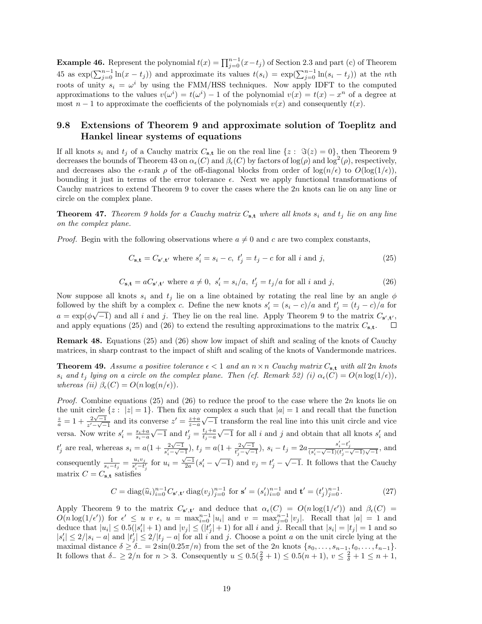**Example 46.** Represent the polynomial  $t(x) = \prod_{j=0}^{n-1} (x - t_j)$  of Section 2.3 and part (c) of Theorem 45 as  $\exp(\sum_{j=0}^{n-1} \ln(x - t_j))$  and approximate its values  $t(s_i) = \exp(\sum_{j=0}^{n-1} \ln(s_i - t_j))$  at the *n*th roots of unity  $s_i = \omega^i$  by using the FMM/HSS techniques. Now apply IDFT to the computed approximations to the values  $v(\omega^i) = t(\omega^i) - 1$  of the polynomial  $v(x) = t(x) - x^n$  of a degree at most  $n-1$  to approximate the coefficients of the polynomials  $v(x)$  and consequently  $t(x)$ .

#### 9.8 Extensions of Theorem 9 and approximate solution of Toeplitz and Hankel linear systems of equations

If all knots  $s_i$  and  $t_j$  of a Cauchy matrix  $C_{s,t}$  lie on the real line  $\{z: \Im(z) = 0\}$ , then Theorem 9 decreases the bounds of Theorem 43 on  $\alpha_{\epsilon}(C)$  and  $\beta_{\epsilon}(C)$  by factors of log( $\rho$ ) and log<sup>2</sup>( $\rho$ ), respectively, and decreases also the  $\epsilon$ -rank  $\rho$  of the off-diagonal blocks from order of  $\log(n/\epsilon)$  to  $O(\log(1/\epsilon))$ , bounding it just in terms of the error tolerance  $\epsilon$ . Next we apply functional transformations of Cauchy matrices to extend Theorem 9 to cover the cases where the  $2n$  knots can lie on any line or circle on the complex plane.

**Theorem 47.** Theorem 9 holds for a Cauchy matrix  $C_{s,t}$  where all knots  $s_i$  and  $t_j$  lie on any line on the complex plane.

*Proof.* Begin with the following observations where  $a \neq 0$  and c are two complex constants,

$$
C_{\mathbf{s},\mathbf{t}} = C_{\mathbf{s}',\mathbf{t}'} \text{ where } s_i' = s_i - c, \ t_j' = t_j - c \text{ for all } i \text{ and } j,
$$
\n
$$
(25)
$$

$$
C_{\mathbf{s},\mathbf{t}} = aC_{\mathbf{s}',\mathbf{t}'} \text{ where } a \neq 0, \ s_i' = s_i/a, \ t_j' = t_j/a \text{ for all } i \text{ and } j,
$$
 (26)

Now suppose all knots  $s_i$  and  $t_j$  lie on a line obtained by rotating the real line by an angle  $\phi$ followed by the shift by a complex c. Define the new knots  $s'_i = (s_i - c)/a$  and  $t'_j = (t_j - c)/a$  for  $a = \exp(\phi \sqrt{-1})$  and all i and j. They lie on the real line. Apply Theorem 9 to the matrix  $C_{s',t'}$ , and apply equations (25) and (26) to extend the resulting approximations to the matrix  $C_{s,t}$ .  $\Box$ 

Remark 48. Equations (25) and (26) show low impact of shift and scaling of the knots of Cauchy matrices, in sharp contrast to the impact of shift and scaling of the knots of Vandermonde matrices.

**Theorem 49.** Assume a positive tolerance  $\epsilon < 1$  and an  $n \times n$  Cauchy matrix  $C_{s,t}$  with all  $2n$  knots  $s_i$  and  $t_j$  lying on a circle on the complex plane. Then (cf. Remark 52) (i)  $\alpha_{\epsilon}(C) = O(n \log(1/\epsilon))$ , whereas (ii)  $\beta_{\epsilon}(C) = O(n \log(n/\epsilon)).$ 

*Proof.* Combine equations (25) and (26) to reduce the proof to the case where the 2n knots lie on the unit circle  $\{z : |z| = 1\}$ . Then fix any complex a such that  $|a| = 1$  and recall that the function  $\frac{z}{a} = 1 + \frac{2\sqrt{-1}}{z' - \sqrt{-1}}$  $\frac{2\sqrt{-1}}{z'-\sqrt{-1}}$  and its converse  $z'=\frac{z+a}{z-a}$  $\sqrt{-1}$  transform the real line into this unit circle and vice versa. Now write  $s_i' = \frac{s_i + a}{s_i - a}$  $\sqrt{-1}$  and  $t'_j = \frac{t_j + a}{t_j - a}$  $t_j-a$  $\sqrt{-1}$  for all *i* and *j* and obtain that all knots  $s'_i$  and  $t'_{j}$  are real, whereas  $s_{i} = a(1 + \frac{2\sqrt{-1}}{s'_{i}-\sqrt{-1}})$  $\frac{2\sqrt{-1}}{s_i'-\sqrt{-1}}$ ),  $t_j = a(1 + \frac{2\sqrt{-1}}{t_j'-\sqrt{-1}})$  $\frac{2\sqrt{-1}}{t'_j - \sqrt{-1}}$ ),  $s_i - t_j = 2a \frac{s'_i - t'_j}{(s'_i - \sqrt{-1})(t'_j - \sqrt{-1})\sqrt{-1}}$ , and consequently  $\frac{1}{s_i-t_j} = \frac{u_iv_j}{s'_i-t'_j}$  for  $u_i = \frac{\sqrt{-1}}{2a}(s'_i-\sqrt{-1})$  and  $v_j = t'_j-\sqrt{-1}$ . It follows that the Cauchy matrix  $C = C_{\mathbf{s},\mathbf{t}}$  satisfies

$$
C = \text{diag}(\widehat{u}_i)_{i=0}^{n-1} C_{\mathbf{s}',\mathbf{t}'} \text{diag}(v_j)_{j=0}^{n-1} \text{ for } \mathbf{s}' = (s'_i)_{i=0}^{n-1} \text{ and } \mathbf{t}' = (t'_j)_{j=0}^{n-1}.
$$
 (27)

Apply Theorem 9 to the matrix  $C_{s',t'}$  and deduce that  $\alpha_{\epsilon}(C) = O(n \log(1/\epsilon'))$  and  $\beta_{\epsilon}(C) =$  $O(n \log(1/\epsilon'))$  for  $\epsilon' \leq u$  v  $\epsilon$ ,  $u = \max_{i=0}^{n-1} |u_i|$  and  $v = \max_{j=0}^{n-1} |v_j|$ . Recall that  $|a| = 1$  and deduce that  $|u_i| \leq 0.5(|s'_i|+1)$  and  $|v_j| \leq (|t'_j|+1)$  for all i and j. Recall that  $|s_i| = |t_j| = 1$  and so  $|s'_i| \leq 2/|s_i - a|$  and  $|t'_j| \leq 2/|t_j - a|$  for all i and j. Choose a point a on the unit circle lying at the maximal distance  $\delta \geq \delta_- = 2 \sin(0.25\pi/n)$  from the set of the  $2n$  knots  $\{s_0, \ldots, s_{n-1}, t_0, \ldots, t_{n-1}\}.$ It follows that  $\delta_- \geq 2/n$  for  $n > 3$ . Consequently  $u \leq 0.5(\frac{2}{\delta} + 1) \leq 0.5(n + 1), v \leq \frac{2}{\delta} + 1 \leq n + 1$ ,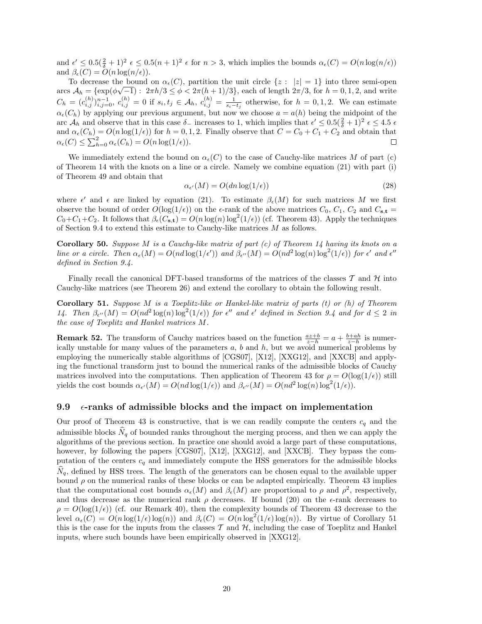and  $\epsilon' \leq 0.5(\frac{2}{\delta}+1)^2 \epsilon \leq 0.5(n+1)^2 \epsilon$  for  $n > 3$ , which implies the bounds  $\alpha_{\epsilon}(C) = O(n \log(n/\epsilon))$ and  $\beta_{\epsilon}(C) = O(n \log(n/\epsilon)).$ 

To decrease the bound on  $\alpha_{\epsilon}(C)$ , partition the unit circle  $\{z : |z| = 1\}$  into three semi-open arcs  $A_h = \{\exp(\phi\sqrt{-1}): 2\pi h/3 \le \phi < 2\pi (h+1)/3\}$ , each of length  $2\pi/3$ , for  $h = 0, 1, 2$ , and write  $C_h = (c_{i,j}^{(h)})_{i,j=0}^{n-1}, c_{i,j}^{(h)} = 0$  if  $s_i, t_j \in A_h$ ,  $c_{i,j}^{(h)} = \frac{1}{s_i - t_j}$  otherwise, for  $h = 0, 1, 2$ . We can estimate  $\alpha_{\epsilon}(C_h)$  by applying our previous argument, but now we choose  $a = a(h)$  being the midpoint of the arc  $\mathcal{A}_h$  and observe that in this case  $\delta_-$  increases to 1, which implies that  $\epsilon' \leq 0.5(\frac{2}{\delta}+1)^2 \epsilon \leq 4.5 \epsilon$ and  $\alpha_{\epsilon}(C_h) = O(n \log(1/\epsilon))$  for  $h = 0, 1, 2$ . Finally observe that  $C = C_0 + C_1 + C_2$  and obtain that  $\alpha_{\epsilon}(C) \leq \sum_{h=0}^{2} \alpha_{\epsilon}(C_h) = O(n \log(1/\epsilon)).$ 

We immediately extend the bound on  $\alpha_{\epsilon}(C)$  to the case of Cauchy-like matrices M of part (c) of Theorem 14 with the knots on a line or a circle. Namely we combine equation (21) with part (i) of Theorem 49 and obtain that

$$
\alpha_{\epsilon'}(M) = O(dn \log(1/\epsilon))\tag{28}
$$

where  $\epsilon'$  and  $\epsilon$  are linked by equation (21). To estimate  $\beta_{\epsilon}(M)$  for such matrices M we first observe the bound of order  $O(\log(1/\epsilon))$  on the  $\epsilon$ -rank of the above matrices  $C_0$ ,  $C_1$ ,  $C_2$  and  $C_{s,t}$  =  $C_0+C_1+C_2$ . It follows that  $\beta_{\epsilon}(C_{s,t}) = O(n \log(n) \log^2(1/\epsilon))$  (cf. Theorem 43). Apply the techniques of Section 9.4 to extend this estimate to Cauchy-like matrices M as follows.

**Corollary 50.** Suppose M is a Cauchy-like matrix of part  $(c)$  of Theorem 14 having its knots on a line or a circle. Then  $\alpha_{\epsilon}(M) = O(nd \log(1/\epsilon'))$  and  $\beta_{\epsilon''}(M) = O(nd^2 \log(n) \log^2(1/\epsilon))$  for  $\epsilon'$  and  $\epsilon''$ defined in Section 9.4.

Finally recall the canonical DFT-based transforms of the matrices of the classes  $\mathcal T$  and  $\mathcal H$  into Cauchy-like matrices (see Theorem 26) and extend the corollary to obtain the following result.

Corollary 51. Suppose M is a Toeplitz-like or Hankel-like matrix of parts  $(t)$  or  $(h)$  of Theorem 14. Then  $\beta_{\epsilon''}(M) = O(nd^2 \log(n) \log^2(1/\epsilon))$  for  $\epsilon''$  and  $\epsilon'$  defined in Section 9.4 and for  $d \leq 2$  in the case of Toeplitz and Hankel matrices M.

**Remark 52.** The transform of Cauchy matrices based on the function  $\frac{az+b}{z-h} = a + \frac{b+ah}{z-h}$  is numerically unstable for many values of the parameters  $a, b$  and  $h$ , but we avoid numerical problems by employing the numerically stable algorithms of [CGS07], [X12], [XXG12], and [XXCB] and applying the functional transform just to bound the numerical ranks of the admissible blocks of Cauchy matrices involved into the computations. Then application of Theorem 43 for  $\rho = O(\log(1/\epsilon))$  still yields the cost bounds  $\alpha_{\epsilon'}(M) = O(nd \log(1/\epsilon))$  and  $\beta_{\epsilon''}(M) = O(nd^2 \log(n) \log^2(1/\epsilon)).$ 

#### 9.9  $\epsilon$ -ranks of admissible blocks and the impact on implementation

Our proof of Theorem 43 is constructive, that is we can readily compute the centers  $c_q$  and the admissible blocks  $\hat{N}_q$  of bounded ranks throughout the merging process, and then we can apply the algorithms of the previous section. In practice one should avoid a large part of these computations, however, by following the papers [CGS07], [X12], [XXG12], and [XXCB]. They bypass the computation of the centers  $c_q$  and immediately compute the HSS generators for the admissible blocks  $N_q$ , defined by HSS trees. The length of the generators can be chosen equal to the available upper bound  $\rho$  on the numerical ranks of these blocks or can be adapted empirically. Theorem 43 implies that the computational cost bounds  $\alpha_{\epsilon}(M)$  and  $\beta_{\epsilon}(M)$  are proportional to  $\rho$  and  $\rho^2$ , respectively, and thus decrease as the numerical rank  $\rho$  decreases. If bound (20) on the  $\epsilon$ -rank decreases to  $\rho = O(\log(1/\epsilon))$  (cf. our Remark 40), then the complexity bounds of Theorem 43 decrease to the level  $\alpha_{\epsilon}(C) = O(n \log(1/\epsilon) \log(n))$  and  $\beta_{\epsilon}(C) = O(n \log^{2}(1/\epsilon) \log(n))$ . By virtue of Corollary 51 this is the case for the inputs from the classes  $\mathcal T$  and  $\mathcal H$ , including the case of Toeplitz and Hankel inputs, where such bounds have been empirically observed in [XXG12].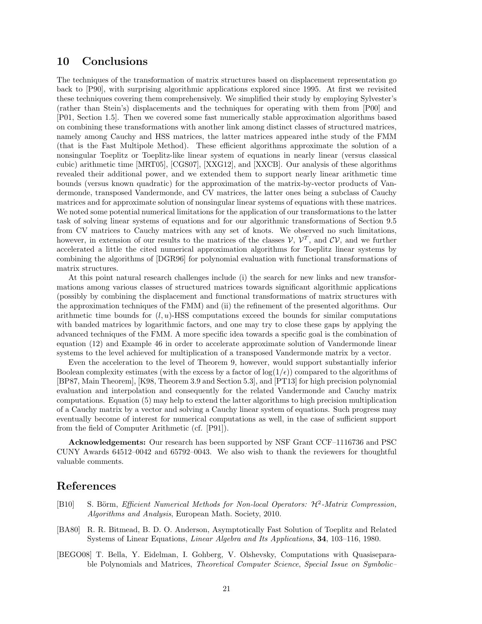## 10 Conclusions

The techniques of the transformation of matrix structures based on displacement representation go back to [P90], with surprising algorithmic applications explored since 1995. At first we revisited these techniques covering them comprehensively. We simplified their study by employing Sylvester's (rather than Stein's) displacements and the techniques for operating with them from [P00] and [P01, Section 1.5]. Then we covered some fast numerically stable approximation algorithms based on combining these transformations with another link among distinct classes of structured matrices, namely among Cauchy and HSS matrices, the latter matrices appeared inthe study of the FMM (that is the Fast Multipole Method). These efficient algorithms approximate the solution of a nonsingular Toeplitz or Toeplitz-like linear system of equations in nearly linear (versus classical cubic) arithmetic time [MRT05], [CGS07], [XXG12], and [XXCB]. Our analysis of these algorithms revealed their additional power, and we extended them to support nearly linear arithmetic time bounds (versus known quadratic) for the approximation of the matrix-by-vector products of Vandermonde, transposed Vandermonde, and CV matrices, the latter ones being a subclass of Cauchy matrices and for approximate solution of nonsingular linear systems of equations with these matrices. We noted some potential numerical limitations for the application of our transformations to the latter task of solving linear systems of equations and for our algorithmic transformations of Section 9.5 from CV matrices to Cauchy matrices with any set of knots. We observed no such limitations, however, in extension of our results to the matrices of the classes  $V, V^T$ , and  $CV$ , and we further accelerated a little the cited numerical approximation algorithms for Toeplitz linear systems by combining the algorithms of [DGR96] for polynomial evaluation with functional transformations of matrix structures.

At this point natural research challenges include (i) the search for new links and new transformations among various classes of structured matrices towards significant algorithmic applications (possibly by combining the displacement and functional transformations of matrix structures with the approximation techniques of the FMM) and (ii) the refinement of the presented algorithms. Our arithmetic time bounds for  $(l, u)$ -HSS computations exceed the bounds for similar computations with banded matrices by logarithmic factors, and one may try to close these gaps by applying the advanced techniques of the FMM. A more specific idea towards a specific goal is the combination of equation (12) and Example 46 in order to accelerate approximate solution of Vandermonde linear systems to the level achieved for multiplication of a transposed Vandermonde matrix by a vector.

Even the acceleration to the level of Theorem 9, however, would support substantially inferior Boolean complexity estimates (with the excess by a factor of  $log(1/\epsilon)$ ) compared to the algorithms of [BP87, Main Theorem], [K98, Theorem 3.9 and Section 5.3], and [PT13] for high precision polynomial evaluation and interpolation and consequently for the related Vandermonde and Cauchy matrix computations. Equation (5) may help to extend the latter algorithms to high precision multiplication of a Cauchy matrix by a vector and solving a Cauchy linear system of equations. Such progress may eventually become of interest for numerical computations as well, in the case of sufficient support from the field of Computer Arithmetic (cf. [P91]).

Acknowledgements: Our research has been supported by NSF Grant CCF–1116736 and PSC CUNY Awards 64512–0042 and 65792–0043. We also wish to thank the reviewers for thoughtful valuable comments.

## References

- [B10] S. Börm, *Efficient Numerical Methods for Non-local Operators:*  $H^2$ -*Matrix Compression*, Algorithms and Analysis, European Math. Society, 2010.
- [BA80] R. R. Bitmead, B. D. O. Anderson, Asymptotically Fast Solution of Toeplitz and Related Systems of Linear Equations, Linear Algebra and Its Applications, 34, 103–116, 1980.
- [BEGO08] T. Bella, Y. Eidelman, I. Gohberg, V. Olshevsky, Computations with Quasiseparable Polynomials and Matrices, Theoretical Computer Science, Special Issue on Symbolic–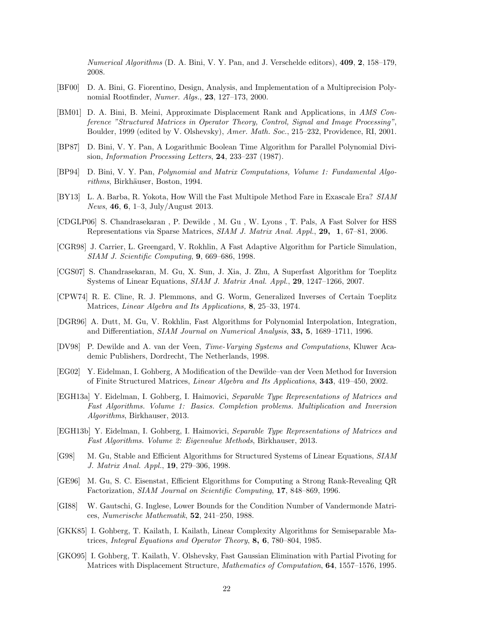Numerical Algorithms (D. A. Bini, V. Y. Pan, and J. Verschelde editors), 409, 2, 158–179, 2008.

- [BF00] D. A. Bini, G. Fiorentino, Design, Analysis, and Implementation of a Multiprecision Polynomial Rootfinder, Numer. Algs., 23, 127–173, 2000.
- [BM01] D. A. Bini, B. Meini, Approximate Displacement Rank and Applications, in AMS Conference "Structured Matrices in Operator Theory, Control, Signal and Image Processing", Boulder, 1999 (edited by V. Olshevsky), Amer. Math. Soc., 215–232, Providence, RI, 2001.
- [BP87] D. Bini, V. Y. Pan, A Logarithmic Boolean Time Algorithm for Parallel Polynomial Division, Information Processing Letters, 24, 233–237 (1987).
- [BP94] D. Bini, V. Y. Pan, Polynomial and Matrix Computations, Volume 1: Fundamental Algorithms, Birkhäuser, Boston, 1994.
- [BY13] L. A. Barba, R. Yokota, How Will the Fast Multipole Method Fare in Exascale Era? SIAM News, 46, 6, 1–3, July/August 2013.
- [CDGLP06] S. Chandrasekaran , P. Dewilde , M. Gu , W. Lyons , T. Pals, A Fast Solver for HSS Representations via Sparse Matrices, SIAM J. Matrix Anal. Appl., 29, 1, 67–81, 2006.
- [CGR98] J. Carrier, L. Greengard, V. Rokhlin, A Fast Adaptive Algorithm for Particle Simulation, SIAM J. Scientific Computing, 9, 669–686, 1998.
- [CGS07] S. Chandrasekaran, M. Gu, X. Sun, J. Xia, J. Zhu, A Superfast Algorithm for Toeplitz Systems of Linear Equations, SIAM J. Matrix Anal. Appl., 29, 1247–1266, 2007.
- [CPW74] R. E. Cline, R. J. Plemmons, and G. Worm, Generalized Inverses of Certain Toeplitz Matrices, Linear Algebra and Its Applications, 8, 25–33, 1974.
- [DGR96] A. Dutt, M. Gu, V. Rokhlin, Fast Algorithms for Polynomial Interpolation, Integration, and Differentiation, SIAM Journal on Numerical Analysis, 33, 5, 1689–1711, 1996.
- [DV98] P. Dewilde and A. van der Veen, Time-Varying Systems and Computations, Kluwer Academic Publishers, Dordrecht, The Netherlands, 1998.
- [EG02] Y. Eidelman, I. Gohberg, A Modification of the Dewilde–van der Veen Method for Inversion of Finite Structured Matrices, Linear Algebra and Its Applications, 343, 419–450, 2002.
- [EGH13a] Y. Eidelman, I. Gohberg, I. Haimovici, Separable Type Representations of Matrices and Fast Algorithms. Volume 1: Basics. Completion problems. Multiplication and Inversion Algorithms, Birkhauser, 2013.
- [EGH13b] Y. Eidelman, I. Gohberg, I. Haimovici, Separable Type Representations of Matrices and Fast Algorithms. Volume 2: Eigenvalue Methods, Birkhauser, 2013.
- [G98] M. Gu, Stable and Efficient Algorithms for Structured Systems of Linear Equations, SIAM J. Matrix Anal. Appl., 19, 279–306, 1998.
- [GE96] M. Gu, S. C. Eisenstat, Efficient Elgorithms for Computing a Strong Rank-Revealing QR Factorization, SIAM Journal on Scientific Computing, 17, 848–869, 1996.
- [GI88] W. Gautschi, G. Inglese, Lower Bounds for the Condition Number of Vandermonde Matrices, Numerische Mathematik, 52, 241–250, 1988.
- [GKK85] I. Gohberg, T. Kailath, I. Kailath, Linear Complexity Algorithms for Semiseparable Matrices, Integral Equations and Operator Theory, 8, 6, 780–804, 1985.
- [GKO95] I. Gohberg, T. Kailath, V. Olshevsky, Fast Gaussian Elimination with Partial Pivoting for Matrices with Displacement Structure, Mathematics of Computation, 64, 1557–1576, 1995.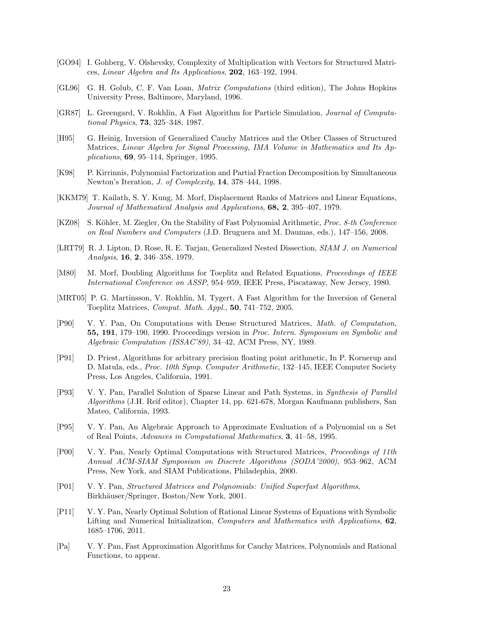- [GO94] I. Gohberg, V. Olshevsky, Complexity of Multiplication with Vectors for Structured Matrices, Linear Algebra and Its Applications, 202, 163–192, 1994.
- [GL96] G. H. Golub, C. F. Van Loan, Matrix Computations (third edition), The Johns Hopkins University Press, Baltimore, Maryland, 1996.
- [GR87] L. Greengard, V. Rokhlin, A Fast Algorithm for Particle Simulation, Journal of Computational Physics, 73, 325–348, 1987.
- [H95] G. Heinig, Inversion of Generalized Cauchy Matrices and the Other Classes of Structured Matrices, Linear Algebra for Signal Processing, IMA Volume in Mathematics and Its Applications, 69, 95–114, Springer, 1995.
- [K98] P. Kirrinnis, Polynomial Factorization and Partial Fraction Decomposition by Simultaneous Newton's Iteration, J. of Complexity, 14, 378–444, 1998.
- [KKM79] T. Kailath, S. Y. Kung, M. Morf, Displacement Ranks of Matrices and Linear Equations, Journal of Mathematical Analysis and Applications, 68, 2, 395-407, 1979.
- [KZ08] S. Köhler, M. Ziegler, On the Stability of Fast Polynomial Arithmetic, Proc. 8-th Conference on Real Numbers and Computers (J.D. Bruguera and M. Daumas, eds.), 147–156, 2008.
- [LRT79] R. J. Lipton, D. Rose, R. E. Tarjan, Generalized Nested Dissection, SIAM J. on Numerical Analysis, 16, 2, 346–358, 1979.
- [M80] M. Morf, Doubling Algorithms for Toeplitz and Related Equations, Proceedings of IEEE International Conference on ASSP, 954–959, IEEE Press, Piscataway, New Jersey, 1980.
- [MRT05] P. G. Martinsson, V. Rokhlin, M. Tygert, A Fast Algorithm for the Inversion of General Toeplitz Matrices, Comput. Math. Appl., 50, 741–752, 2005.
- [P90] V. Y. Pan, On Computations with Dense Structured Matrices, Math. of Computation, 55, 191, 179–190, 1990. Proceedings version in Proc. Intern. Symposium on Symbolic and Algebraic Computation (ISSAC'89), 34–42, ACM Press, NY, 1989.
- [P91] D. Priest, Algorithms for arbitrary precision floating point arithmetic, In P. Kornerup and D. Matula, eds., Proc. 10th Symp. Computer Arithmetic, 132–145, IEEE Computer Society Press, Los Angeles, California, 1991.
- [P93] V. Y. Pan, Parallel Solution of Sparse Linear and Path Systems, in Synthesis of Parallel Algorithms (J.H. Reif editor), Chapter 14, pp. 621-678, Morgan Kaufmann publishers, San Mateo, California, 1993.
- [P95] V. Y. Pan, An Algebraic Approach to Approximate Evaluation of a Polynomial on a Set of Real Points, Advances in Computational Mathematics, 3, 41–58, 1995.
- [P00] V. Y. Pan, Nearly Optimal Computations with Structured Matrices, Proceedings of 11th Annual ACM-SIAM Symposium on Discrete Algorithms (SODA'2000), 953–962, ACM Press, New York, and SIAM Publications, Philadephia, 2000.
- [P01] V. Y. Pan, Structured Matrices and Polynomials: Unified Superfast Algorithms, Birkhäuser/Springer, Boston/New York, 2001.
- [P11] V. Y. Pan, Nearly Optimal Solution of Rational Linear Systems of Equations with Symbolic Lifting and Numerical Initialization, *Computers and Mathematics with Applications*, **62**, 1685–1706, 2011.
- [Pa] V. Y. Pan, Fast Approximation Algorithms for Cauchy Matrices, Polynomials and Rational Functions, to appear.